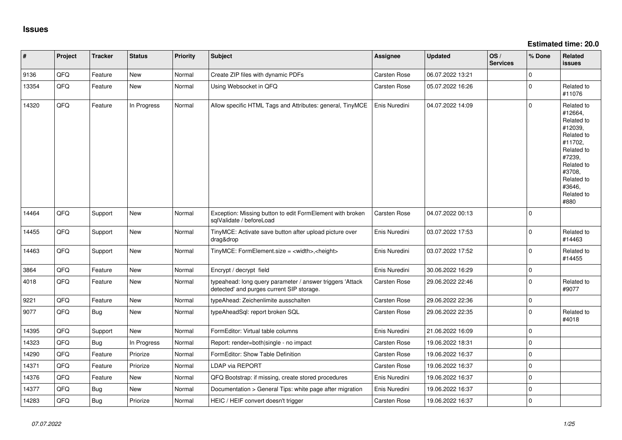**Estimated time: 20.0**

| ∦     | Project | <b>Tracker</b> | <b>Status</b> | Priority | <b>Subject</b>                                                                                         | <b>Assignee</b> | <b>Updated</b>   | OS/<br><b>Services</b> | % Done      | Related<br><b>issues</b>                                                                                                                                              |
|-------|---------|----------------|---------------|----------|--------------------------------------------------------------------------------------------------------|-----------------|------------------|------------------------|-------------|-----------------------------------------------------------------------------------------------------------------------------------------------------------------------|
| 9136  | QFQ     | Feature        | <b>New</b>    | Normal   | Create ZIP files with dynamic PDFs                                                                     | Carsten Rose    | 06.07.2022 13:21 |                        | $\Omega$    |                                                                                                                                                                       |
| 13354 | QFQ     | Feature        | New           | Normal   | Using Websocket in QFQ                                                                                 | Carsten Rose    | 05.07.2022 16:26 |                        | $\Omega$    | Related to<br>#11076                                                                                                                                                  |
| 14320 | QFQ     | Feature        | In Progress   | Normal   | Allow specific HTML Tags and Attributes: general, TinyMCE                                              | Enis Nuredini   | 04.07.2022 14:09 |                        | $\Omega$    | Related to<br>#12664,<br>Related to<br>#12039,<br>Related to<br>#11702.<br>Related to<br>#7239,<br>Related to<br>#3708,<br>Related to<br>#3646,<br>Related to<br>#880 |
| 14464 | QFQ     | Support        | New           | Normal   | Exception: Missing button to edit FormElement with broken<br>sglValidate / beforeLoad                  | Carsten Rose    | 04.07.2022 00:13 |                        | $\Omega$    |                                                                                                                                                                       |
| 14455 | QFQ     | Support        | New           | Normal   | TinyMCE: Activate save button after upload picture over<br>drag&drop                                   | Enis Nuredini   | 03.07.2022 17:53 |                        | $\Omega$    | Related to<br>#14463                                                                                                                                                  |
| 14463 | QFQ     | Support        | New           | Normal   | TinyMCE: FormElement.size = <width>,<height></height></width>                                          | Enis Nuredini   | 03.07.2022 17:52 |                        | $\Omega$    | Related to<br>#14455                                                                                                                                                  |
| 3864  | QFQ     | Feature        | <b>New</b>    | Normal   | Encrypt / decrypt field                                                                                | Enis Nuredini   | 30.06.2022 16:29 |                        | $\mathbf 0$ |                                                                                                                                                                       |
| 4018  | QFQ     | Feature        | New           | Normal   | typeahead: long query parameter / answer triggers 'Attack<br>detected' and purges current SIP storage. | Carsten Rose    | 29.06.2022 22:46 |                        | $\Omega$    | Related to<br>#9077                                                                                                                                                   |
| 9221  | QFQ     | Feature        | <b>New</b>    | Normal   | typeAhead: Zeichenlimite ausschalten                                                                   | Carsten Rose    | 29.06.2022 22:36 |                        | $\mathbf 0$ |                                                                                                                                                                       |
| 9077  | QFQ     | Bug            | <b>New</b>    | Normal   | typeAheadSql: report broken SQL                                                                        | Carsten Rose    | 29.06.2022 22:35 |                        | $\Omega$    | Related to<br>#4018                                                                                                                                                   |
| 14395 | QFQ     | Support        | <b>New</b>    | Normal   | FormEditor: Virtual table columns                                                                      | Enis Nuredini   | 21.06.2022 16:09 |                        | $\Omega$    |                                                                                                                                                                       |
| 14323 | QFQ     | Bug            | In Progress   | Normal   | Report: render=both single - no impact                                                                 | Carsten Rose    | 19.06.2022 18:31 |                        | $\mathbf 0$ |                                                                                                                                                                       |
| 14290 | QFQ     | Feature        | Priorize      | Normal   | FormEditor: Show Table Definition                                                                      | Carsten Rose    | 19.06.2022 16:37 |                        | $\mathbf 0$ |                                                                                                                                                                       |
| 14371 | QFQ     | Feature        | Priorize      | Normal   | <b>LDAP via REPORT</b>                                                                                 | Carsten Rose    | 19.06.2022 16:37 |                        | $\pmb{0}$   |                                                                                                                                                                       |
| 14376 | QFQ     | Feature        | New           | Normal   | QFQ Bootstrap: if missing, create stored procedures                                                    | Enis Nuredini   | 19.06.2022 16:37 |                        | $\mathbf 0$ |                                                                                                                                                                       |
| 14377 | QFQ     | Bug            | New           | Normal   | Documentation > General Tips: white page after migration                                               | Enis Nuredini   | 19.06.2022 16:37 |                        | $\Omega$    |                                                                                                                                                                       |
| 14283 | QFQ     | <b>Bug</b>     | Priorize      | Normal   | HEIC / HEIF convert doesn't trigger                                                                    | Carsten Rose    | 19.06.2022 16:37 |                        | $\mathbf 0$ |                                                                                                                                                                       |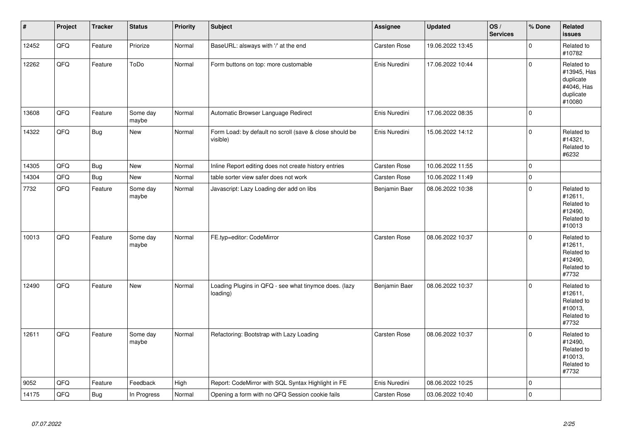| $\pmb{\sharp}$ | Project | <b>Tracker</b> | <b>Status</b>     | <b>Priority</b> | <b>Subject</b>                                                      | <b>Assignee</b>     | <b>Updated</b>   | OS/<br><b>Services</b> | % Done              | Related<br><b>issues</b>                                                    |
|----------------|---------|----------------|-------------------|-----------------|---------------------------------------------------------------------|---------------------|------------------|------------------------|---------------------|-----------------------------------------------------------------------------|
| 12452          | QFQ     | Feature        | Priorize          | Normal          | BaseURL: alsways with '/' at the end                                | <b>Carsten Rose</b> | 19.06.2022 13:45 |                        | $\mathbf 0$         | Related to<br>#10782                                                        |
| 12262          | QFQ     | Feature        | ToDo              | Normal          | Form buttons on top: more customable                                | Enis Nuredini       | 17.06.2022 10:44 |                        | $\mathsf 0$         | Related to<br>#13945, Has<br>duplicate<br>#4046, Has<br>duplicate<br>#10080 |
| 13608          | QFQ     | Feature        | Some day<br>maybe | Normal          | Automatic Browser Language Redirect                                 | Enis Nuredini       | 17.06.2022 08:35 |                        | $\Omega$            |                                                                             |
| 14322          | QFQ     | <b>Bug</b>     | New               | Normal          | Form Load: by default no scroll (save & close should be<br>visible) | Enis Nuredini       | 15.06.2022 14:12 |                        | $\mathbf{0}$        | Related to<br>#14321,<br>Related to<br>#6232                                |
| 14305          | QFQ     | Bug            | <b>New</b>        | Normal          | Inline Report editing does not create history entries               | Carsten Rose        | 10.06.2022 11:55 |                        | 0                   |                                                                             |
| 14304          | QFQ     | Bug            | <b>New</b>        | Normal          | table sorter view safer does not work                               | Carsten Rose        | 10.06.2022 11:49 |                        | $\mathbf 0$         |                                                                             |
| 7732           | QFQ     | Feature        | Some day<br>maybe | Normal          | Javascript: Lazy Loading der add on libs                            | Benjamin Baer       | 08.06.2022 10:38 |                        | $\mathsf 0$         | Related to<br>#12611.<br>Related to<br>#12490,<br>Related to<br>#10013      |
| 10013          | QFQ     | Feature        | Some day<br>maybe | Normal          | FE.typ=editor: CodeMirror                                           | Carsten Rose        | 08.06.2022 10:37 |                        | $\Omega$            | Related to<br>#12611,<br>Related to<br>#12490,<br>Related to<br>#7732       |
| 12490          | QFQ     | Feature        | <b>New</b>        | Normal          | Loading Plugins in QFQ - see what tinymce does. (lazy<br>loading)   | Benjamin Baer       | 08.06.2022 10:37 |                        | $\Omega$            | Related to<br>#12611,<br>Related to<br>#10013,<br>Related to<br>#7732       |
| 12611          | QFQ     | Feature        | Some day<br>maybe | Normal          | Refactoring: Bootstrap with Lazy Loading                            | Carsten Rose        | 08.06.2022 10:37 |                        | $\Omega$            | Related to<br>#12490,<br>Related to<br>#10013,<br>Related to<br>#7732       |
| 9052           | QFQ     | Feature        | Feedback          | High            | Report: CodeMirror with SQL Syntax Highlight in FE                  | Enis Nuredini       | 08.06.2022 10:25 |                        | $\mathbf 0$         |                                                                             |
| 14175          | QFQ     | <b>Bug</b>     | In Progress       | Normal          | Opening a form with no QFQ Session cookie fails                     | Carsten Rose        | 03.06.2022 10:40 |                        | $\mathsf{O}\xspace$ |                                                                             |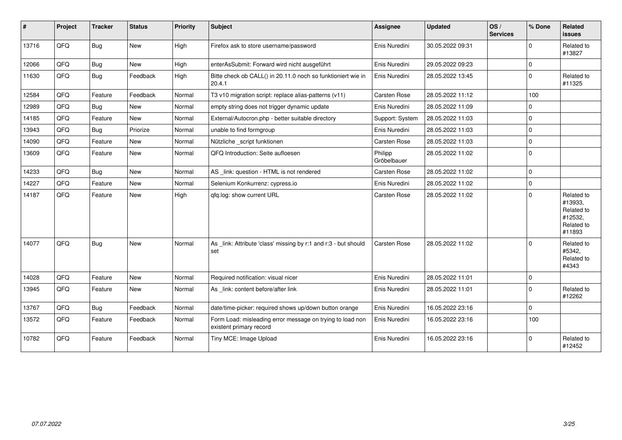| $\sharp$ | Project | <b>Tracker</b> | <b>Status</b> | <b>Priority</b> | <b>Subject</b>                                                                       | Assignee               | <b>Updated</b>   | OS/<br><b>Services</b> | % Done      | Related<br><b>issues</b>                                               |
|----------|---------|----------------|---------------|-----------------|--------------------------------------------------------------------------------------|------------------------|------------------|------------------------|-------------|------------------------------------------------------------------------|
| 13716    | QFQ     | Bug            | New           | High            | Firefox ask to store username/password                                               | Enis Nuredini          | 30.05.2022 09:31 |                        | $\mathbf 0$ | Related to<br>#13827                                                   |
| 12066    | QFQ     | <b>Bug</b>     | New           | High            | enterAsSubmit: Forward wird nicht ausgeführt                                         | Enis Nuredini          | 29.05.2022 09:23 |                        | $\mathbf 0$ |                                                                        |
| 11630    | QFQ     | <b>Bug</b>     | Feedback      | High            | Bitte check ob CALL() in 20.11.0 noch so funktioniert wie in<br>20.4.1               | Enis Nuredini          | 28.05.2022 13:45 |                        | $\mathbf 0$ | Related to<br>#11325                                                   |
| 12584    | QFQ     | Feature        | Feedback      | Normal          | T3 v10 migration script: replace alias-patterns (v11)                                | Carsten Rose           | 28.05.2022 11:12 |                        | 100         |                                                                        |
| 12989    | QFQ     | Bug            | New           | Normal          | empty string does not trigger dynamic update                                         | Enis Nuredini          | 28.05.2022 11:09 |                        | $\mathbf 0$ |                                                                        |
| 14185    | QFQ     | Feature        | <b>New</b>    | Normal          | External/Autocron.php - better suitable directory                                    | Support: System        | 28.05.2022 11:03 |                        | $\mathbf 0$ |                                                                        |
| 13943    | QFQ     | Bug            | Priorize      | Normal          | unable to find formgroup                                                             | Enis Nuredini          | 28.05.2022 11:03 |                        | $\mathbf 0$ |                                                                        |
| 14090    | QFQ     | Feature        | New           | Normal          | Nützliche _script funktionen                                                         | Carsten Rose           | 28.05.2022 11:03 |                        | $\mathbf 0$ |                                                                        |
| 13609    | QFQ     | Feature        | New           | Normal          | QFQ Introduction: Seite aufloesen                                                    | Philipp<br>Gröbelbauer | 28.05.2022 11:02 |                        | $\mathbf 0$ |                                                                        |
| 14233    | QFQ     | Bug            | New           | Normal          | AS _link: question - HTML is not rendered                                            | Carsten Rose           | 28.05.2022 11:02 |                        | $\pmb{0}$   |                                                                        |
| 14227    | QFQ     | Feature        | <b>New</b>    | Normal          | Selenium Konkurrenz: cypress.io                                                      | Enis Nuredini          | 28.05.2022 11:02 |                        | $\pmb{0}$   |                                                                        |
| 14187    | QFQ     | Feature        | New           | High            | qfq.log: show current URL                                                            | Carsten Rose           | 28.05.2022 11:02 |                        | $\mathbf 0$ | Related to<br>#13933,<br>Related to<br>#12532,<br>Related to<br>#11893 |
| 14077    | QFQ     | Bug            | New           | Normal          | As _link: Attribute 'class' missing by r:1 and r:3 - but should<br>set               | Carsten Rose           | 28.05.2022 11:02 |                        | $\mathbf 0$ | Related to<br>#5342,<br>Related to<br>#4343                            |
| 14028    | QFQ     | Feature        | New           | Normal          | Required notification: visual nicer                                                  | Enis Nuredini          | 28.05.2022 11:01 |                        | $\mathbf 0$ |                                                                        |
| 13945    | QFQ     | Feature        | New           | Normal          | As link: content before/after link                                                   | Enis Nuredini          | 28.05.2022 11:01 |                        | $\mathbf 0$ | Related to<br>#12262                                                   |
| 13767    | QFQ     | <b>Bug</b>     | Feedback      | Normal          | date/time-picker: required shows up/down button orange                               | Enis Nuredini          | 16.05.2022 23:16 |                        | $\mathbf 0$ |                                                                        |
| 13572    | QFQ     | Feature        | Feedback      | Normal          | Form Load: misleading error message on trying to load non<br>existent primary record | Enis Nuredini          | 16.05.2022 23:16 |                        | 100         |                                                                        |
| 10782    | QFQ     | Feature        | Feedback      | Normal          | Tiny MCE: Image Upload                                                               | Enis Nuredini          | 16.05.2022 23:16 |                        | $\mathbf 0$ | Related to<br>#12452                                                   |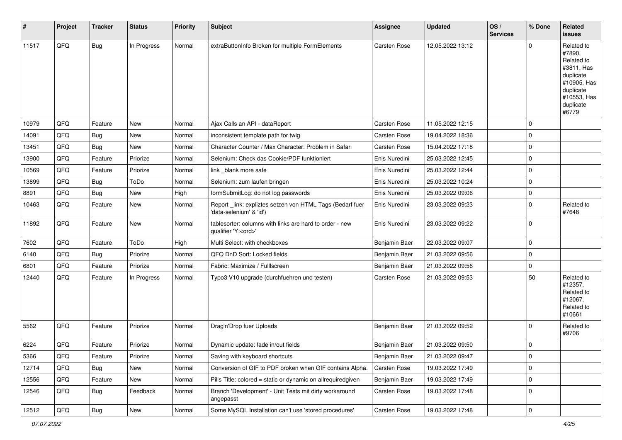| #     | Project | <b>Tracker</b> | <b>Status</b> | <b>Priority</b> | <b>Subject</b>                                                                        | <b>Assignee</b> | <b>Updated</b>   | OS/<br><b>Services</b> | % Done      | Related<br>issues                                                                                                              |
|-------|---------|----------------|---------------|-----------------|---------------------------------------------------------------------------------------|-----------------|------------------|------------------------|-------------|--------------------------------------------------------------------------------------------------------------------------------|
| 11517 | QFQ     | Bug            | In Progress   | Normal          | extraButtonInfo Broken for multiple FormElements                                      | Carsten Rose    | 12.05.2022 13:12 |                        | $\Omega$    | Related to<br>#7890,<br>Related to<br>#3811, Has<br>duplicate<br>#10905, Has<br>duplicate<br>#10553, Has<br>duplicate<br>#6779 |
| 10979 | QFQ     | Feature        | New           | Normal          | Ajax Calls an API - dataReport                                                        | Carsten Rose    | 11.05.2022 12:15 |                        | $\mathbf 0$ |                                                                                                                                |
| 14091 | QFQ     | Bug            | New           | Normal          | inconsistent template path for twig                                                   | Carsten Rose    | 19.04.2022 18:36 |                        | $\mathbf 0$ |                                                                                                                                |
| 13451 | QFQ     | Bug            | New           | Normal          | Character Counter / Max Character: Problem in Safari                                  | Carsten Rose    | 15.04.2022 17:18 |                        | $\mathbf 0$ |                                                                                                                                |
| 13900 | QFQ     | Feature        | Priorize      | Normal          | Selenium: Check das Cookie/PDF funktioniert                                           | Enis Nuredini   | 25.03.2022 12:45 |                        | $\Omega$    |                                                                                                                                |
| 10569 | QFQ     | Feature        | Priorize      | Normal          | link _blank more safe                                                                 | Enis Nuredini   | 25.03.2022 12:44 |                        | $\mathbf 0$ |                                                                                                                                |
| 13899 | QFQ     | <b>Bug</b>     | ToDo          | Normal          | Selenium: zum laufen bringen                                                          | Enis Nuredini   | 25.03.2022 10:24 |                        | $\mathbf 0$ |                                                                                                                                |
| 8891  | QFQ     | <b>Bug</b>     | <b>New</b>    | High            | formSubmitLog: do not log passwords                                                   | Enis Nuredini   | 25.03.2022 09:06 |                        | $\mathbf 0$ |                                                                                                                                |
| 10463 | QFQ     | Feature        | New           | Normal          | Report _link: expliztes setzen von HTML Tags (Bedarf fuer<br>'data-selenium' & 'id')  | Enis Nuredini   | 23.03.2022 09:23 |                        | $\Omega$    | Related to<br>#7648                                                                                                            |
| 11892 | QFQ     | Feature        | New           | Normal          | tablesorter: columns with links are hard to order - new<br>qualifier 'Y: <ord>'</ord> | Enis Nuredini   | 23.03.2022 09:22 |                        | $\mathbf 0$ |                                                                                                                                |
| 7602  | QFQ     | Feature        | ToDo          | High            | Multi Select: with checkboxes                                                         | Benjamin Baer   | 22.03.2022 09:07 |                        | $\mathbf 0$ |                                                                                                                                |
| 6140  | QFQ     | <b>Bug</b>     | Priorize      | Normal          | QFQ DnD Sort: Locked fields                                                           | Benjamin Baer   | 21.03.2022 09:56 |                        | $\Omega$    |                                                                                                                                |
| 6801  | QFQ     | Feature        | Priorize      | Normal          | Fabric: Maximize / FullIscreen                                                        | Benjamin Baer   | 21.03.2022 09:56 |                        | 0           |                                                                                                                                |
| 12440 | QFQ     | Feature        | In Progress   | Normal          | Typo3 V10 upgrade (durchfuehren und testen)                                           | Carsten Rose    | 21.03.2022 09:53 |                        | 50          | Related to<br>#12357,<br>Related to<br>#12067,<br>Related to<br>#10661                                                         |
| 5562  | QFQ     | Feature        | Priorize      | Normal          | Drag'n'Drop fuer Uploads                                                              | Benjamin Baer   | 21.03.2022 09:52 |                        | $\Omega$    | Related to<br>#9706                                                                                                            |
| 6224  | QFQ     | Feature        | Priorize      | Normal          | Dynamic update: fade in/out fields                                                    | Benjamin Baer   | 21.03.2022 09:50 |                        | $\Omega$    |                                                                                                                                |
| 5366  | QFQ     | Feature        | Priorize      | Normal          | Saving with keyboard shortcuts                                                        | Benjamin Baer   | 21.03.2022 09:47 |                        | $\mathbf 0$ |                                                                                                                                |
| 12714 | QFQ     | <b>Bug</b>     | New           | Normal          | Conversion of GIF to PDF broken when GIF contains Alpha.                              | Carsten Rose    | 19.03.2022 17:49 |                        | 0           |                                                                                                                                |
| 12556 | QFQ     | Feature        | New           | Normal          | Pills Title: colored = static or dynamic on allrequiredgiven                          | Benjamin Baer   | 19.03.2022 17:49 |                        | $\pmb{0}$   |                                                                                                                                |
| 12546 | QFQ     | Bug            | Feedback      | Normal          | Branch 'Development' - Unit Tests mit dirty workaround<br>angepasst                   | Carsten Rose    | 19.03.2022 17:48 |                        | 0           |                                                                                                                                |
| 12512 | QFQ     | Bug            | New           | Normal          | Some MySQL Installation can't use 'stored procedures'                                 | Carsten Rose    | 19.03.2022 17:48 |                        | $\mathbf 0$ |                                                                                                                                |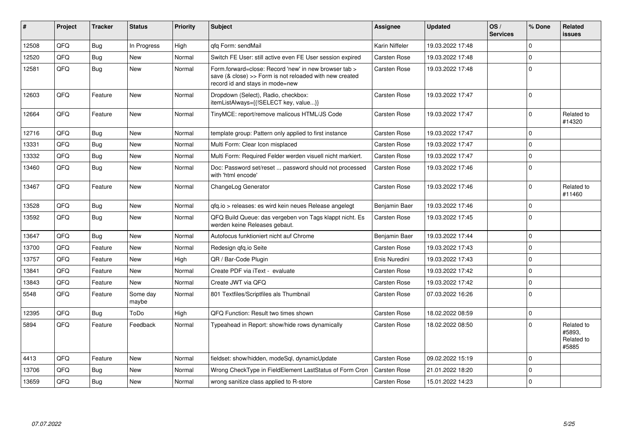| #     | Project | <b>Tracker</b> | <b>Status</b>     | <b>Priority</b> | <b>Subject</b>                                                                                                                                      | <b>Assignee</b> | Updated          | OS/<br><b>Services</b> | % Done      | Related<br>issues                           |
|-------|---------|----------------|-------------------|-----------------|-----------------------------------------------------------------------------------------------------------------------------------------------------|-----------------|------------------|------------------------|-------------|---------------------------------------------|
| 12508 | QFQ     | Bug            | In Progress       | High            | qfq Form: sendMail                                                                                                                                  | Karin Niffeler  | 19.03.2022 17:48 |                        | $\Omega$    |                                             |
| 12520 | QFQ     | Bug            | <b>New</b>        | Normal          | Switch FE User: still active even FE User session expired                                                                                           | Carsten Rose    | 19.03.2022 17:48 |                        | 0           |                                             |
| 12581 | QFQ     | Bug            | <b>New</b>        | Normal          | Form.forward=close: Record 'new' in new browser tab ><br>save (& close) >> Form is not reloaded with new created<br>record id and stays in mode=new | Carsten Rose    | 19.03.2022 17:48 |                        | $\Omega$    |                                             |
| 12603 | QFQ     | Feature        | <b>New</b>        | Normal          | Dropdown (Select), Radio, checkbox:<br>itemListAlways={{!SELECT key, value}}                                                                        | Carsten Rose    | 19.03.2022 17:47 |                        | $\Omega$    |                                             |
| 12664 | QFQ     | Feature        | <b>New</b>        | Normal          | TinyMCE: report/remove malicous HTML/JS Code                                                                                                        | Carsten Rose    | 19.03.2022 17:47 |                        | $\Omega$    | Related to<br>#14320                        |
| 12716 | QFQ     | Bug            | New               | Normal          | template group: Pattern only applied to first instance                                                                                              | Carsten Rose    | 19.03.2022 17:47 |                        | $\Omega$    |                                             |
| 13331 | QFQ     | Bug            | <b>New</b>        | Normal          | Multi Form: Clear Icon misplaced                                                                                                                    | Carsten Rose    | 19.03.2022 17:47 |                        | $\Omega$    |                                             |
| 13332 | QFQ     | Bug            | <b>New</b>        | Normal          | Multi Form: Required Felder werden visuell nicht markiert.                                                                                          | Carsten Rose    | 19.03.2022 17:47 |                        | 0           |                                             |
| 13460 | QFQ     | Bug            | <b>New</b>        | Normal          | Doc: Password set/reset  password should not processed<br>with 'html encode'                                                                        | Carsten Rose    | 19.03.2022 17:46 |                        | $\Omega$    |                                             |
| 13467 | QFQ     | Feature        | <b>New</b>        | Normal          | ChangeLog Generator                                                                                                                                 | Carsten Rose    | 19.03.2022 17:46 |                        | $\Omega$    | Related to<br>#11460                        |
| 13528 | QFQ     | Bug            | <b>New</b>        | Normal          | gfg.io > releases: es wird kein neues Release angelegt                                                                                              | Benjamin Baer   | 19.03.2022 17:46 |                        | $\Omega$    |                                             |
| 13592 | QFQ     | Bug            | <b>New</b>        | Normal          | QFQ Build Queue: das vergeben von Tags klappt nicht. Es<br>werden keine Releases gebaut.                                                            | Carsten Rose    | 19.03.2022 17:45 |                        | $\Omega$    |                                             |
| 13647 | QFQ     | Bug            | <b>New</b>        | Normal          | Autofocus funktioniert nicht auf Chrome                                                                                                             | Benjamin Baer   | 19.03.2022 17:44 |                        | $\Omega$    |                                             |
| 13700 | QFQ     | Feature        | <b>New</b>        | Normal          | Redesign gfg.io Seite                                                                                                                               | Carsten Rose    | 19.03.2022 17:43 |                        | $\Omega$    |                                             |
| 13757 | QFQ     | Feature        | <b>New</b>        | High            | QR / Bar-Code Plugin                                                                                                                                | Enis Nuredini   | 19.03.2022 17:43 |                        | 0           |                                             |
| 13841 | QFQ     | Feature        | New               | Normal          | Create PDF via iText - evaluate                                                                                                                     | Carsten Rose    | 19.03.2022 17:42 |                        | $\Omega$    |                                             |
| 13843 | QFQ     | Feature        | <b>New</b>        | Normal          | Create JWT via QFQ                                                                                                                                  | Carsten Rose    | 19.03.2022 17:42 |                        | $\Omega$    |                                             |
| 5548  | QFQ     | Feature        | Some day<br>maybe | Normal          | 801 Textfiles/Scriptfiles als Thumbnail                                                                                                             | Carsten Rose    | 07.03.2022 16:26 |                        | $\mathbf 0$ |                                             |
| 12395 | QFQ     | Bug            | ToDo              | High            | QFQ Function: Result two times shown                                                                                                                | Carsten Rose    | 18.02.2022 08:59 |                        | 0           |                                             |
| 5894  | QFQ     | Feature        | Feedback          | Normal          | Typeahead in Report: show/hide rows dynamically                                                                                                     | Carsten Rose    | 18.02.2022 08:50 |                        | $\Omega$    | Related to<br>#5893.<br>Related to<br>#5885 |
| 4413  | QFQ     | Feature        | <b>New</b>        | Normal          | fieldset: show/hidden, modeSql, dynamicUpdate                                                                                                       | Carsten Rose    | 09.02.2022 15:19 |                        | $\Omega$    |                                             |
| 13706 | QFQ     | Bug            | <b>New</b>        | Normal          | Wrong CheckType in FieldElement LastStatus of Form Cron                                                                                             | Carsten Rose    | 21.01.2022 18:20 |                        | $\Omega$    |                                             |
| 13659 | QFQ     | Bug            | New               | Normal          | wrong sanitize class applied to R-store                                                                                                             | Carsten Rose    | 15.01.2022 14:23 |                        | 0           |                                             |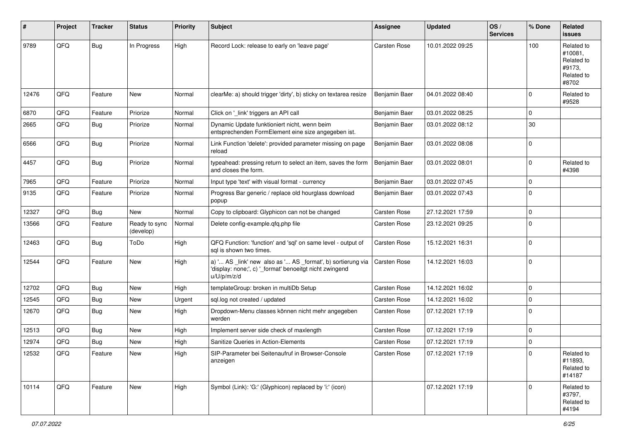| #     | Project | <b>Tracker</b> | <b>Status</b>              | <b>Priority</b> | <b>Subject</b>                                                                                                                        | <b>Assignee</b> | <b>Updated</b>   | OS/<br><b>Services</b> | % Done      | Related<br>issues                                                    |
|-------|---------|----------------|----------------------------|-----------------|---------------------------------------------------------------------------------------------------------------------------------------|-----------------|------------------|------------------------|-------------|----------------------------------------------------------------------|
| 9789  | QFQ     | Bug            | In Progress                | High            | Record Lock: release to early on 'leave page'                                                                                         | Carsten Rose    | 10.01.2022 09:25 |                        | 100         | Related to<br>#10081,<br>Related to<br>#9173.<br>Related to<br>#8702 |
| 12476 | QFQ     | Feature        | New                        | Normal          | clearMe: a) should trigger 'dirty', b) sticky on textarea resize                                                                      | Benjamin Baer   | 04.01.2022 08:40 |                        | $\Omega$    | Related to<br>#9528                                                  |
| 6870  | QFQ     | Feature        | Priorize                   | Normal          | Click on '_link' triggers an API call                                                                                                 | Benjamin Baer   | 03.01.2022 08:25 |                        | $\mathbf 0$ |                                                                      |
| 2665  | QFQ     | Bug            | Priorize                   | Normal          | Dynamic Update funktioniert nicht, wenn beim<br>entsprechenden FormElement eine size angegeben ist.                                   | Benjamin Baer   | 03.01.2022 08:12 |                        | 30          |                                                                      |
| 6566  | QFQ     | Bug            | Priorize                   | Normal          | Link Function 'delete': provided parameter missing on page<br>reload                                                                  | Benjamin Baer   | 03.01.2022 08:08 |                        | $\mathbf 0$ |                                                                      |
| 4457  | QFQ     | Bug            | Priorize                   | Normal          | typeahead: pressing return to select an item, saves the form<br>and closes the form.                                                  | Benjamin Baer   | 03.01.2022 08:01 |                        | $\mathbf 0$ | Related to<br>#4398                                                  |
| 7965  | QFQ     | Feature        | Priorize                   | Normal          | Input type 'text' with visual format - currency                                                                                       | Benjamin Baer   | 03.01.2022 07:45 |                        | $\mathbf 0$ |                                                                      |
| 9135  | QFQ     | Feature        | Priorize                   | Normal          | Progress Bar generic / replace old hourglass download<br>popup                                                                        | Benjamin Baer   | 03.01.2022 07:43 |                        | $\Omega$    |                                                                      |
| 12327 | QFQ     | Bug            | New                        | Normal          | Copy to clipboard: Glyphicon can not be changed                                                                                       | Carsten Rose    | 27.12.2021 17:59 |                        | $\mathbf 0$ |                                                                      |
| 13566 | QFQ     | Feature        | Ready to sync<br>(develop) | Normal          | Delete config-example.qfq.php file                                                                                                    | Carsten Rose    | 23.12.2021 09:25 |                        | $\Omega$    |                                                                      |
| 12463 | QFQ     | Bug            | ToDo                       | High            | QFQ Function: 'function' and 'sql' on same level - output of<br>sql is shown two times.                                               | Carsten Rose    | 15.12.2021 16:31 |                        | $\Omega$    |                                                                      |
| 12544 | QFQ     | Feature        | New                        | High            | a) ' AS _link' new also as ' AS _format', b) sortierung via<br>'display: none;', c) '_format' benoeitgt nicht zwingend<br>u/U/p/m/z/d | Carsten Rose    | 14.12.2021 16:03 |                        | $\Omega$    |                                                                      |
| 12702 | QFQ     | <b>Bug</b>     | <b>New</b>                 | High            | templateGroup: broken in multiDb Setup                                                                                                | Carsten Rose    | 14.12.2021 16:02 |                        | $\mathbf 0$ |                                                                      |
| 12545 | QFQ     | <b>Bug</b>     | New                        | Urgent          | sql.log not created / updated                                                                                                         | Carsten Rose    | 14.12.2021 16:02 |                        | $\mathbf 0$ |                                                                      |
| 12670 | QFQ     | Bug            | New                        | High            | Dropdown-Menu classes können nicht mehr angegeben<br>werden                                                                           | Carsten Rose    | 07.12.2021 17:19 |                        | $\mathbf 0$ |                                                                      |
| 12513 | QFQ     | <b>Bug</b>     | New                        | High            | Implement server side check of maxlength                                                                                              | Carsten Rose    | 07.12.2021 17:19 |                        | $\mathbf 0$ |                                                                      |
| 12974 | QFQ     | Bug            | <b>New</b>                 | High            | Sanitize Queries in Action-Elements                                                                                                   | Carsten Rose    | 07.12.2021 17:19 |                        | 0           |                                                                      |
| 12532 | QFQ     | Feature        | l New                      | High            | SIP-Parameter bei Seitenaufruf in Browser-Console<br>anzeigen                                                                         | Carsten Rose    | 07.12.2021 17:19 |                        | 0           | Related to<br>#11893,<br>Related to<br>#14187                        |
| 10114 | QFQ     | Feature        | New                        | High            | Symbol (Link): 'G:' (Glyphicon) replaced by 'i:' (icon)                                                                               |                 | 07.12.2021 17:19 |                        | $\Omega$    | Related to<br>#3797,<br>Related to<br>#4194                          |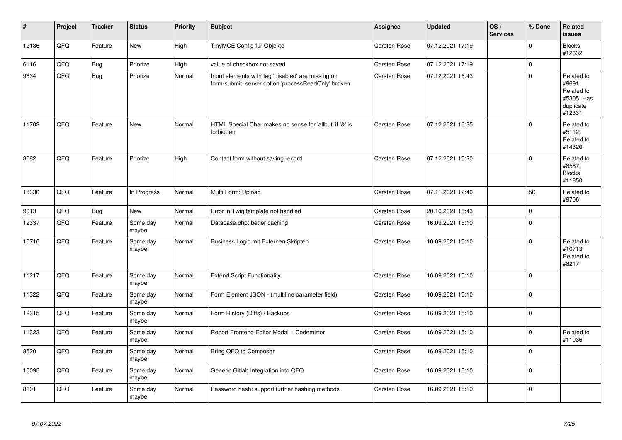| #     | Project | <b>Tracker</b> | <b>Status</b>     | Priority | <b>Subject</b>                                                                                           | Assignee            | <b>Updated</b>   | OS/<br><b>Services</b> | % Done         | Related<br><b>issues</b>                                                |
|-------|---------|----------------|-------------------|----------|----------------------------------------------------------------------------------------------------------|---------------------|------------------|------------------------|----------------|-------------------------------------------------------------------------|
| 12186 | QFQ     | Feature        | <b>New</b>        | High     | TinyMCE Config für Objekte                                                                               | Carsten Rose        | 07.12.2021 17:19 |                        | $\Omega$       | <b>Blocks</b><br>#12632                                                 |
| 6116  | QFQ     | <b>Bug</b>     | Priorize          | High     | value of checkbox not saved                                                                              | <b>Carsten Rose</b> | 07.12.2021 17:19 |                        | $\mathbf{0}$   |                                                                         |
| 9834  | QFQ     | <b>Bug</b>     | Priorize          | Normal   | Input elements with tag 'disabled' are missing on<br>form-submit: server option 'processReadOnly' broken | Carsten Rose        | 07.12.2021 16:43 |                        | 0              | Related to<br>#9691,<br>Related to<br>#5305, Has<br>duplicate<br>#12331 |
| 11702 | QFQ     | Feature        | <b>New</b>        | Normal   | HTML Special Char makes no sense for 'allbut' if '&' is<br>forbidden                                     | <b>Carsten Rose</b> | 07.12.2021 16:35 |                        | $\Omega$       | Related to<br>#5112,<br>Related to<br>#14320                            |
| 8082  | QFQ     | Feature        | Priorize          | High     | Contact form without saving record                                                                       | Carsten Rose        | 07.12.2021 15:20 |                        | $\Omega$       | Related to<br>#8587,<br><b>Blocks</b><br>#11850                         |
| 13330 | QFQ     | Feature        | In Progress       | Normal   | Multi Form: Upload                                                                                       | Carsten Rose        | 07.11.2021 12:40 |                        | 50             | Related to<br>#9706                                                     |
| 9013  | QFQ     | Bug            | New               | Normal   | Error in Twig template not handled                                                                       | Carsten Rose        | 20.10.2021 13:43 |                        | 0              |                                                                         |
| 12337 | QFO     | Feature        | Some day<br>maybe | Normal   | Database.php: better caching                                                                             | Carsten Rose        | 16.09.2021 15:10 |                        | $\overline{0}$ |                                                                         |
| 10716 | QFQ     | Feature        | Some day<br>maybe | Normal   | Business Logic mit Externen Skripten                                                                     | Carsten Rose        | 16.09.2021 15:10 |                        | 0              | Related to<br>#10713,<br>Related to<br>#8217                            |
| 11217 | QFQ     | Feature        | Some day<br>maybe | Normal   | <b>Extend Script Functionality</b>                                                                       | <b>Carsten Rose</b> | 16.09.2021 15:10 |                        | $\overline{0}$ |                                                                         |
| 11322 | QFQ     | Feature        | Some day<br>maybe | Normal   | Form Element JSON - (multiline parameter field)                                                          | Carsten Rose        | 16.09.2021 15:10 |                        | 0              |                                                                         |
| 12315 | QFQ     | Feature        | Some day<br>maybe | Normal   | Form History (Diffs) / Backups                                                                           | <b>Carsten Rose</b> | 16.09.2021 15:10 |                        | 0              |                                                                         |
| 11323 | QFQ     | Feature        | Some day<br>maybe | Normal   | Report Frontend Editor Modal + Codemirror                                                                | Carsten Rose        | 16.09.2021 15:10 |                        | 0              | Related to<br>#11036                                                    |
| 8520  | QFQ     | Feature        | Some day<br>maybe | Normal   | Bring QFQ to Composer                                                                                    | Carsten Rose        | 16.09.2021 15:10 |                        | 0              |                                                                         |
| 10095 | QFQ     | Feature        | Some day<br>maybe | Normal   | Generic Gitlab Integration into QFQ                                                                      | Carsten Rose        | 16.09.2021 15:10 |                        | $\Omega$       |                                                                         |
| 8101  | QFQ     | Feature        | Some day<br>maybe | Normal   | Password hash: support further hashing methods                                                           | Carsten Rose        | 16.09.2021 15:10 |                        | $\Omega$       |                                                                         |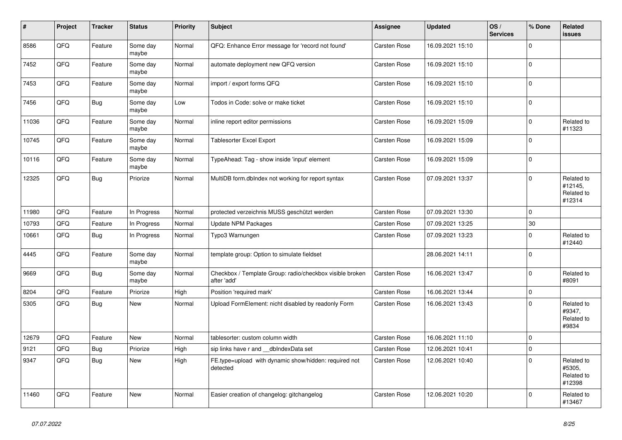| $\vert$ # | Project | <b>Tracker</b> | <b>Status</b>     | <b>Priority</b> | Subject                                                                 | Assignee     | <b>Updated</b>   | OS/<br><b>Services</b> | % Done      | Related<br><b>issues</b>                      |
|-----------|---------|----------------|-------------------|-----------------|-------------------------------------------------------------------------|--------------|------------------|------------------------|-------------|-----------------------------------------------|
| 8586      | QFQ     | Feature        | Some day<br>maybe | Normal          | QFQ: Enhance Error message for 'record not found'                       | Carsten Rose | 16.09.2021 15:10 |                        | $\Omega$    |                                               |
| 7452      | QFQ     | Feature        | Some day<br>maybe | Normal          | automate deployment new QFQ version                                     | Carsten Rose | 16.09.2021 15:10 |                        | $\mathbf 0$ |                                               |
| 7453      | QFQ     | Feature        | Some day<br>maybe | Normal          | import / export forms QFQ                                               | Carsten Rose | 16.09.2021 15:10 |                        | $\Omega$    |                                               |
| 7456      | QFQ     | <b>Bug</b>     | Some day<br>maybe | Low             | Todos in Code: solve or make ticket                                     | Carsten Rose | 16.09.2021 15:10 |                        | $\Omega$    |                                               |
| 11036     | QFQ     | Feature        | Some day<br>maybe | Normal          | inline report editor permissions                                        | Carsten Rose | 16.09.2021 15:09 |                        | $\mathbf 0$ | Related to<br>#11323                          |
| 10745     | QFQ     | Feature        | Some day<br>maybe | Normal          | <b>Tablesorter Excel Export</b>                                         | Carsten Rose | 16.09.2021 15:09 |                        | $\Omega$    |                                               |
| 10116     | QFQ     | Feature        | Some day<br>maybe | Normal          | TypeAhead: Tag - show inside 'input' element                            | Carsten Rose | 16.09.2021 15:09 |                        | $\Omega$    |                                               |
| 12325     | QFQ     | Bug            | Priorize          | Normal          | MultiDB form.dblndex not working for report syntax                      | Carsten Rose | 07.09.2021 13:37 |                        | $\Omega$    | Related to<br>#12145,<br>Related to<br>#12314 |
| 11980     | QFQ     | Feature        | In Progress       | Normal          | protected verzeichnis MUSS geschützt werden                             | Carsten Rose | 07.09.2021 13:30 |                        | $\Omega$    |                                               |
| 10793     | QFQ     | Feature        | In Progress       | Normal          | <b>Update NPM Packages</b>                                              | Carsten Rose | 07.09.2021 13:25 |                        | 30          |                                               |
| 10661     | QFQ     | Bug            | In Progress       | Normal          | Typo3 Warnungen                                                         | Carsten Rose | 07.09.2021 13:23 |                        | $\Omega$    | Related to<br>#12440                          |
| 4445      | QFQ     | Feature        | Some day<br>maybe | Normal          | template group: Option to simulate fieldset                             |              | 28.06.2021 14:11 |                        | $\Omega$    |                                               |
| 9669      | QFQ     | Bug            | Some day<br>maybe | Normal          | Checkbox / Template Group: radio/checkbox visible broken<br>after 'add' | Carsten Rose | 16.06.2021 13:47 |                        | $\Omega$    | Related to<br>#8091                           |
| 8204      | QFQ     | Feature        | Priorize          | High            | Position 'required mark'                                                | Carsten Rose | 16.06.2021 13:44 |                        | $\Omega$    |                                               |
| 5305      | QFQ     | <b>Bug</b>     | New               | Normal          | Upload FormElement: nicht disabled by readonly Form                     | Carsten Rose | 16.06.2021 13:43 |                        | $\Omega$    | Related to<br>#9347,<br>Related to<br>#9834   |
| 12679     | QFQ     | Feature        | New               | Normal          | tablesorter: custom column width                                        | Carsten Rose | 16.06.2021 11:10 |                        | $\Omega$    |                                               |
| 9121      | QFQ     | Bug            | Priorize          | High            | sip links have r and __dbIndexData set                                  | Carsten Rose | 12.06.2021 10:41 |                        | $\Omega$    |                                               |
| 9347      | QFQ     | <b>Bug</b>     | New               | High            | FE.type=upload with dynamic show/hidden: required not<br>detected       | Carsten Rose | 12.06.2021 10:40 |                        | $\Omega$    | Related to<br>#5305,<br>Related to<br>#12398  |
| 11460     | QFQ     | Feature        | <b>New</b>        | Normal          | Easier creation of changelog: gitchangelog                              | Carsten Rose | 12.06.2021 10:20 |                        | $\Omega$    | Related to<br>#13467                          |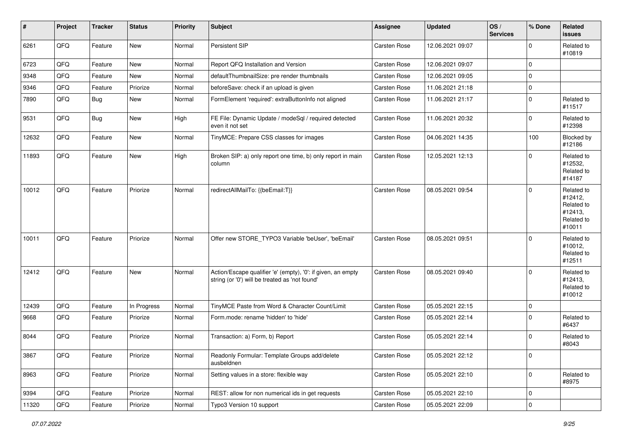| $\vert$ # | Project | <b>Tracker</b> | <b>Status</b> | <b>Priority</b> | <b>Subject</b>                                                                                                 | Assignee            | <b>Updated</b>   | OS/<br><b>Services</b> | % Done       | Related<br><b>issues</b>                                               |
|-----------|---------|----------------|---------------|-----------------|----------------------------------------------------------------------------------------------------------------|---------------------|------------------|------------------------|--------------|------------------------------------------------------------------------|
| 6261      | QFQ     | Feature        | New           | Normal          | Persistent SIP                                                                                                 | Carsten Rose        | 12.06.2021 09:07 |                        | 0            | Related to<br>#10819                                                   |
| 6723      | QFQ     | Feature        | <b>New</b>    | Normal          | Report QFQ Installation and Version                                                                            | Carsten Rose        | 12.06.2021 09:07 |                        | 0            |                                                                        |
| 9348      | QFQ     | Feature        | New           | Normal          | defaultThumbnailSize: pre render thumbnails                                                                    | Carsten Rose        | 12.06.2021 09:05 |                        | 0            |                                                                        |
| 9346      | QFQ     | Feature        | Priorize      | Normal          | beforeSave: check if an upload is given                                                                        | Carsten Rose        | 11.06.2021 21:18 |                        | 0            |                                                                        |
| 7890      | QFQ     | Bug            | New           | Normal          | FormElement 'required': extraButtonInfo not aligned                                                            | Carsten Rose        | 11.06.2021 21:17 |                        | 0            | Related to<br>#11517                                                   |
| 9531      | QFQ     | Bug            | New           | High            | FE File: Dynamic Update / modeSql / required detected<br>even it not set                                       | Carsten Rose        | 11.06.2021 20:32 |                        | 0            | Related to<br>#12398                                                   |
| 12632     | QFQ     | Feature        | New           | Normal          | TinyMCE: Prepare CSS classes for images                                                                        | Carsten Rose        | 04.06.2021 14:35 |                        | 100          | Blocked by<br>#12186                                                   |
| 11893     | QFQ     | Feature        | New           | High            | Broken SIP: a) only report one time, b) only report in main<br>column                                          | Carsten Rose        | 12.05.2021 12:13 |                        | 0            | Related to<br>#12532,<br>Related to<br>#14187                          |
| 10012     | QFQ     | Feature        | Priorize      | Normal          | redirectAllMailTo: {{beEmail:T}}                                                                               | Carsten Rose        | 08.05.2021 09:54 |                        | 0            | Related to<br>#12412,<br>Related to<br>#12413,<br>Related to<br>#10011 |
| 10011     | QFQ     | Feature        | Priorize      | Normal          | Offer new STORE_TYPO3 Variable 'beUser', 'beEmail'                                                             | <b>Carsten Rose</b> | 08.05.2021 09:51 |                        | 0            | Related to<br>#10012,<br>Related to<br>#12511                          |
| 12412     | QFQ     | Feature        | <b>New</b>    | Normal          | Action/Escape qualifier 'e' (empty), '0': if given, an empty<br>string (or '0') will be treated as 'not found' | <b>Carsten Rose</b> | 08.05.2021 09:40 |                        | 0            | Related to<br>#12413,<br>Related to<br>#10012                          |
| 12439     | QFQ     | Feature        | In Progress   | Normal          | TinyMCE Paste from Word & Character Count/Limit                                                                | Carsten Rose        | 05.05.2021 22:15 |                        | 0            |                                                                        |
| 9668      | QFQ     | Feature        | Priorize      | Normal          | Form.mode: rename 'hidden' to 'hide'                                                                           | Carsten Rose        | 05.05.2021 22:14 |                        | 0            | Related to<br>#6437                                                    |
| 8044      | QFQ     | Feature        | Priorize      | Normal          | Transaction: a) Form, b) Report                                                                                | Carsten Rose        | 05.05.2021 22:14 |                        | 0            | Related to<br>#8043                                                    |
| 3867      | QFQ     | Feature        | Priorize      | Normal          | Readonly Formular: Template Groups add/delete<br>ausbeldnen                                                    | Carsten Rose        | 05.05.2021 22:12 |                        | 0            |                                                                        |
| 8963      | QFQ     | Feature        | Priorize      | Normal          | Setting values in a store: flexible way                                                                        | Carsten Rose        | 05.05.2021 22:10 |                        | $\mathbf{0}$ | Related to<br>#8975                                                    |
| 9394      | QFQ     | Feature        | Priorize      | Normal          | REST: allow for non numerical ids in get requests                                                              | Carsten Rose        | 05.05.2021 22:10 |                        | 0            |                                                                        |
| 11320     | QFO     | Feature        | Priorize      | Normal          | Typo3 Version 10 support                                                                                       | Carsten Rose        | 05.05.2021 22:09 |                        | 0            |                                                                        |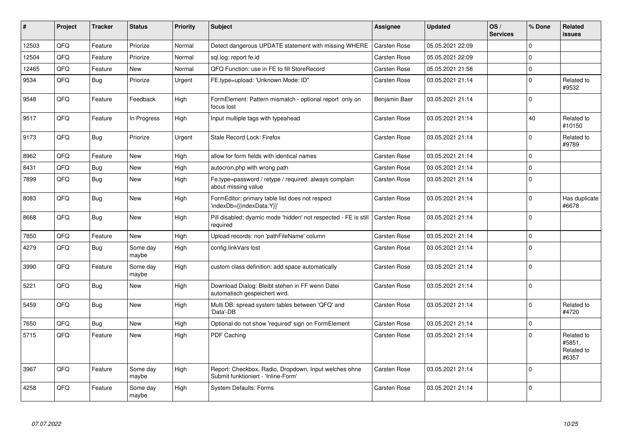| #     | Project | <b>Tracker</b> | <b>Status</b>     | <b>Priority</b> | Subject                                                                                      | Assignee            | <b>Updated</b>   | OS/<br><b>Services</b> | % Done      | Related<br>issues                           |
|-------|---------|----------------|-------------------|-----------------|----------------------------------------------------------------------------------------------|---------------------|------------------|------------------------|-------------|---------------------------------------------|
| 12503 | QFQ     | Feature        | Priorize          | Normal          | Detect dangerous UPDATE statement with missing WHERE                                         | Carsten Rose        | 05.05.2021 22:09 |                        | $\Omega$    |                                             |
| 12504 | QFQ     | Feature        | Priorize          | Normal          | sgl.log: report fe.id                                                                        | Carsten Rose        | 05.05.2021 22:09 |                        | $\Omega$    |                                             |
| 12465 | QFQ     | Feature        | <b>New</b>        | Normal          | QFQ Function: use in FE to fill StoreRecord                                                  | Carsten Rose        | 05.05.2021 21:58 |                        | $\mathbf 0$ |                                             |
| 9534  | QFQ     | <b>Bug</b>     | Priorize          | Urgent          | FE.type=upload: 'Unknown Mode: ID"                                                           | Carsten Rose        | 03.05.2021 21:14 |                        | $\mathbf 0$ | Related to<br>#9532                         |
| 9548  | QFQ     | Feature        | Feedback          | High            | FormElement: Pattern mismatch - optional report only on<br>focus lost                        | Benjamin Baer       | 03.05.2021 21:14 |                        | $\pmb{0}$   |                                             |
| 9517  | QFQ     | Feature        | In Progress       | High            | Input multiple tags with typeahead                                                           | Carsten Rose        | 03.05.2021 21:14 |                        | 40          | Related to<br>#10150                        |
| 9173  | QFQ     | <b>Bug</b>     | Priorize          | Urgent          | Stale Record Lock: Firefox                                                                   | Carsten Rose        | 03.05.2021 21:14 |                        | $\Omega$    | Related to<br>#9789                         |
| 8962  | QFQ     | Feature        | <b>New</b>        | High            | allow for form fields with identical names                                                   | <b>Carsten Rose</b> | 03.05.2021 21:14 |                        | $\Omega$    |                                             |
| 8431  | QFQ     | <b>Bug</b>     | <b>New</b>        | High            | autocron.php with wrong path                                                                 | Carsten Rose        | 03.05.2021 21:14 |                        | $\mathbf 0$ |                                             |
| 7899  | QFQ     | Bug            | New               | High            | Fe.type=password / retype / required: always complain<br>about missing value                 | Carsten Rose        | 03.05.2021 21:14 |                        | $\Omega$    |                                             |
| 8083  | QFQ     | Bug            | <b>New</b>        | High            | FormEditor: primary table list does not respect<br>'indexDb={{indexData:Y}}'                 | Carsten Rose        | 03.05.2021 21:14 |                        | $\Omega$    | Has duplicate<br>#6678                      |
| 8668  | QFQ     | <b>Bug</b>     | <b>New</b>        | High            | Pill disabled: dyamic mode 'hidden' not respected - FE is still<br>required                  | <b>Carsten Rose</b> | 03.05.2021 21:14 |                        | $\Omega$    |                                             |
| 7850  | QFQ     | Feature        | <b>New</b>        | High            | Upload records: non 'pathFileName' column                                                    | Carsten Rose        | 03.05.2021 21:14 |                        | $\Omega$    |                                             |
| 4279  | QFQ     | Bug            | Some day<br>maybe | High            | config.linkVars lost                                                                         | Carsten Rose        | 03.05.2021 21:14 |                        | $\Omega$    |                                             |
| 3990  | QFQ     | Feature        | Some day<br>maybe | High            | custom class definition: add space automatically                                             | Carsten Rose        | 03.05.2021 21:14 |                        | $\mathbf 0$ |                                             |
| 5221  | QFQ     | <b>Bug</b>     | <b>New</b>        | High            | Download Dialog: Bleibt stehen in FF wenn Datei<br>automatisch gespeichert wird.             | Carsten Rose        | 03.05.2021 21:14 |                        | $\Omega$    |                                             |
| 5459  | QFQ     | Bug            | <b>New</b>        | High            | Multi DB: spread system tables between 'QFQ' and<br>'Data'-DB                                | <b>Carsten Rose</b> | 03.05.2021 21:14 |                        | $\Omega$    | Related to<br>#4720                         |
| 7650  | QFQ     | <b>Bug</b>     | <b>New</b>        | High            | Optional do not show 'required' sign on FormElement                                          | <b>Carsten Rose</b> | 03.05.2021 21:14 |                        | $\Omega$    |                                             |
| 5715  | QFQ     | Feature        | <b>New</b>        | High            | PDF Caching                                                                                  | <b>Carsten Rose</b> | 03.05.2021 21:14 |                        | $\mathbf 0$ | Related to<br>#5851.<br>Related to<br>#6357 |
| 3967  | QFQ     | Feature        | Some day<br>maybe | High            | Report: Checkbox, Radio, Dropdown, Input welches ohne<br>Submit funktioniert - 'Inline-Form' | Carsten Rose        | 03.05.2021 21:14 |                        | $\mathbf 0$ |                                             |
| 4258  | QFQ     | Feature        | Some day<br>maybe | High            | <b>System Defaults: Forms</b>                                                                | Carsten Rose        | 03.05.2021 21:14 |                        | $\Omega$    |                                             |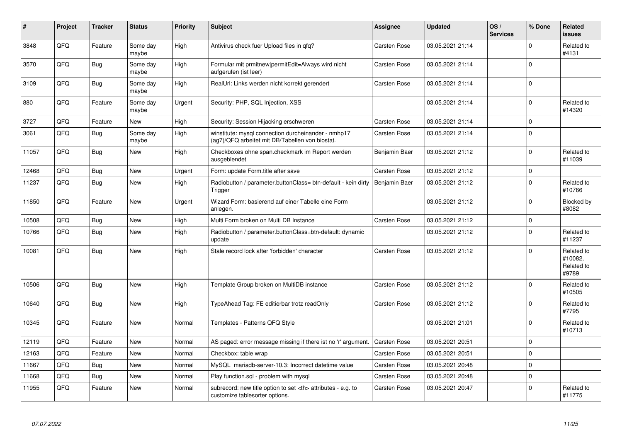| #     | Project | <b>Tracker</b> | <b>Status</b>     | <b>Priority</b> | <b>Subject</b>                                                                                         | Assignee                                               | <b>Updated</b>   | OS/<br><b>Services</b> | % Done      | Related<br>issues                            |                      |
|-------|---------|----------------|-------------------|-----------------|--------------------------------------------------------------------------------------------------------|--------------------------------------------------------|------------------|------------------------|-------------|----------------------------------------------|----------------------|
| 3848  | QFQ     | Feature        | Some day<br>maybe | High            | Antivirus check fuer Upload files in qfq?                                                              | Carsten Rose                                           | 03.05.2021 21:14 |                        | $\Omega$    | Related to<br>#4131                          |                      |
| 3570  | QFQ     | <b>Bug</b>     | Some day<br>maybe | High            | Formular mit prmitnew permitEdit=Always wird nicht<br>aufgerufen (ist leer)                            | Carsten Rose                                           | 03.05.2021 21:14 |                        | $\Omega$    |                                              |                      |
| 3109  | QFQ     | <b>Bug</b>     | Some day<br>maybe | High            | RealUrl: Links werden nicht korrekt gerendert                                                          | Carsten Rose                                           | 03.05.2021 21:14 |                        | $\Omega$    |                                              |                      |
| 880   | QFQ     | Feature        | Some day<br>maybe | Urgent          | Security: PHP, SQL Injection, XSS                                                                      |                                                        | 03.05.2021 21:14 |                        | $\Omega$    | Related to<br>#14320                         |                      |
| 3727  | QFQ     | Feature        | <b>New</b>        | High            | Security: Session Hijacking erschweren                                                                 | Carsten Rose                                           | 03.05.2021 21:14 |                        | $\Omega$    |                                              |                      |
| 3061  | QFQ     | Bug            | Some day<br>maybe | High            | winstitute: mysql connection durcheinander - nmhp17<br>(ag7)/QFQ arbeitet mit DB/Tabellen von biostat. | Carsten Rose                                           | 03.05.2021 21:14 |                        | $\mathbf 0$ |                                              |                      |
| 11057 | QFQ     | <b>Bug</b>     | <b>New</b>        | High            | Checkboxes ohne span.checkmark im Report werden<br>ausgeblendet                                        | Benjamin Baer                                          | 03.05.2021 21:12 |                        | $\mathbf 0$ | Related to<br>#11039                         |                      |
| 12468 | QFQ     | Bug            | <b>New</b>        | Urgent          | Form: update Form.title after save                                                                     | Carsten Rose                                           | 03.05.2021 21:12 |                        | $\mathbf 0$ |                                              |                      |
| 11237 | QFQ     | <b>Bug</b>     | <b>New</b>        | High            | Radiobutton / parameter.buttonClass= btn-default - kein dirty<br>Trigger                               | Benjamin Baer                                          | 03.05.2021 21:12 |                        | $\mathbf 0$ | Related to<br>#10766                         |                      |
| 11850 | QFQ     | Feature        | <b>New</b>        | Urgent          | Wizard Form: basierend auf einer Tabelle eine Form<br>anlegen.                                         |                                                        | 03.05.2021 21:12 |                        | $\mathbf 0$ | Blocked by<br>#8082                          |                      |
| 10508 | QFQ     | Bug            | <b>New</b>        | High            | Multi Form broken on Multi DB Instance                                                                 | Carsten Rose                                           | 03.05.2021 21:12 |                        | $\mathbf 0$ |                                              |                      |
| 10766 | QFQ     | <b>Bug</b>     | <b>New</b>        | High            | Radiobutton / parameter.buttonClass=btn-default: dynamic<br>update                                     |                                                        | 03.05.2021 21:12 |                        | $\Omega$    | Related to<br>#11237                         |                      |
| 10081 | QFQ     | Bug            | New               | High            | Stale record lock after 'forbidden' character                                                          | Carsten Rose                                           | 03.05.2021 21:12 |                        | $\Omega$    | Related to<br>#10082,<br>Related to<br>#9789 |                      |
| 10506 | QFQ     | <b>Bug</b>     | <b>New</b>        | High            | Template Group broken on MultiDB instance                                                              | <b>Carsten Rose</b>                                    | 03.05.2021 21:12 |                        | $\Omega$    | Related to<br>#10505                         |                      |
| 10640 | QFQ     | Bug            | New               | High            | TypeAhead Tag: FE editierbar trotz readOnly                                                            | Carsten Rose                                           | 03.05.2021 21:12 |                        | $\Omega$    | Related to<br>#7795                          |                      |
| 10345 | QFQ     | Feature        | <b>New</b>        | Normal          | Templates - Patterns QFQ Style                                                                         |                                                        | 03.05.2021 21:01 |                        | $\mathbf 0$ | Related to<br>#10713                         |                      |
| 12119 | QFQ     | Feature        | <b>New</b>        | Normal          | AS paged: error message missing if there ist no 'r' argument.                                          | Carsten Rose                                           | 03.05.2021 20:51 |                        | $\mathbf 0$ |                                              |                      |
| 12163 | QFQ     | Feature        | <b>New</b>        | Normal          | Checkbox: table wrap                                                                                   | Carsten Rose                                           | 03.05.2021 20:51 |                        | $\Omega$    |                                              |                      |
| 11667 | QFQ     | Bug            | <b>New</b>        | Normal          | MySQL mariadb-server-10.3: Incorrect datetime value                                                    | <b>Carsten Rose</b>                                    | 03.05.2021 20:48 |                        | $\mathbf 0$ |                                              |                      |
| 11668 | QFQ     | Bug            | <b>New</b>        | Normal          | Play function.sql - problem with mysql                                                                 | Carsten Rose                                           | 03.05.2021 20:48 |                        | $\mathbf 0$ |                                              |                      |
| 11955 | QFQ     | Feature        | New               | Normal          | subrecord: new title option to set <th> attributes - e.g. to<br/>customize tablesorter options.</th>   | attributes - e.g. to<br>customize tablesorter options. | Carsten Rose     | 03.05.2021 20:47       |             | $\Omega$                                     | Related to<br>#11775 |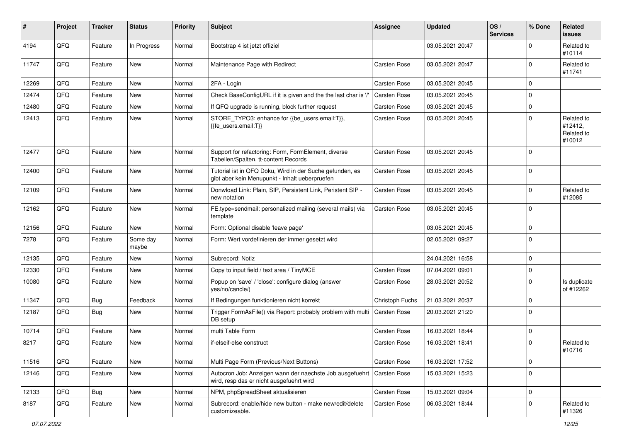| #     | Project | <b>Tracker</b> | <b>Status</b>     | <b>Priority</b> | <b>Subject</b>                                                                                             | <b>Assignee</b>     | <b>Updated</b>   | OS/<br><b>Services</b> | % Done      | Related<br><b>issues</b>                      |
|-------|---------|----------------|-------------------|-----------------|------------------------------------------------------------------------------------------------------------|---------------------|------------------|------------------------|-------------|-----------------------------------------------|
| 4194  | QFQ     | Feature        | In Progress       | Normal          | Bootstrap 4 ist jetzt offiziel                                                                             |                     | 03.05.2021 20:47 |                        | $\Omega$    | Related to<br>#10114                          |
| 11747 | QFQ     | Feature        | New               | Normal          | Maintenance Page with Redirect                                                                             | Carsten Rose        | 03.05.2021 20:47 |                        | $\Omega$    | Related to<br>#11741                          |
| 12269 | QFQ     | Feature        | <b>New</b>        | Normal          | 2FA - Login                                                                                                | Carsten Rose        | 03.05.2021 20:45 |                        | $\mathbf 0$ |                                               |
| 12474 | QFQ     | Feature        | New               | Normal          | Check BaseConfigURL if it is given and the the last char is '/'                                            | <b>Carsten Rose</b> | 03.05.2021 20:45 |                        | $\Omega$    |                                               |
| 12480 | QFQ     | Feature        | <b>New</b>        | Normal          | If QFQ upgrade is running, block further request                                                           | Carsten Rose        | 03.05.2021 20:45 |                        | $\pmb{0}$   |                                               |
| 12413 | QFQ     | Feature        | <b>New</b>        | Normal          | STORE_TYPO3: enhance for {{be_users.email:T}},<br>{{fe users.email:T}}                                     | Carsten Rose        | 03.05.2021 20:45 |                        | $\Omega$    | Related to<br>#12412,<br>Related to<br>#10012 |
| 12477 | QFQ     | Feature        | <b>New</b>        | Normal          | Support for refactoring: Form, FormElement, diverse<br>Tabellen/Spalten, tt-content Records                | Carsten Rose        | 03.05.2021 20:45 |                        | $\mathbf 0$ |                                               |
| 12400 | QFQ     | Feature        | New               | Normal          | Tutorial ist in QFQ Doku, Wird in der Suche gefunden, es<br>gibt aber kein Menupunkt - Inhalt ueberpruefen | Carsten Rose        | 03.05.2021 20:45 |                        | $\mathbf 0$ |                                               |
| 12109 | QFQ     | Feature        | <b>New</b>        | Normal          | Donwload Link: Plain, SIP, Persistent Link, Peristent SIP -<br>new notation                                | Carsten Rose        | 03.05.2021 20:45 |                        | $\mathbf 0$ | Related to<br>#12085                          |
| 12162 | QFQ     | Feature        | <b>New</b>        | Normal          | FE.type=sendmail: personalized mailing (several mails) via<br>template                                     | Carsten Rose        | 03.05.2021 20:45 |                        | $\mathbf 0$ |                                               |
| 12156 | QFQ     | Feature        | New               | Normal          | Form: Optional disable 'leave page'                                                                        |                     | 03.05.2021 20:45 |                        | $\mathbf 0$ |                                               |
| 7278  | QFQ     | Feature        | Some day<br>maybe | Normal          | Form: Wert vordefinieren der immer gesetzt wird                                                            |                     | 02.05.2021 09:27 |                        | $\mathbf 0$ |                                               |
| 12135 | QFQ     | Feature        | <b>New</b>        | Normal          | Subrecord: Notiz                                                                                           |                     | 24.04.2021 16:58 |                        | $\mathbf 0$ |                                               |
| 12330 | QFQ     | Feature        | <b>New</b>        | Normal          | Copy to input field / text area / TinyMCE                                                                  | Carsten Rose        | 07.04.2021 09:01 |                        | $\pmb{0}$   |                                               |
| 10080 | QFQ     | Feature        | New               | Normal          | Popup on 'save' / 'close': configure dialog (answer<br>yes/no/cancle/)                                     | Carsten Rose        | 28.03.2021 20:52 |                        | $\mathbf 0$ | Is duplicate<br>of #12262                     |
| 11347 | QFQ     | <b>Bug</b>     | Feedback          | Normal          | If Bedingungen funktionieren nicht korrekt                                                                 | Christoph Fuchs     | 21.03.2021 20:37 |                        | $\mathbf 0$ |                                               |
| 12187 | QFQ     | Bug            | <b>New</b>        | Normal          | Trigger FormAsFile() via Report: probably problem with multi<br>DB setup                                   | Carsten Rose        | 20.03.2021 21:20 |                        | $\Omega$    |                                               |
| 10714 | QFQ     | Feature        | <b>New</b>        | Normal          | multi Table Form                                                                                           | Carsten Rose        | 16.03.2021 18:44 |                        | $\mathbf 0$ |                                               |
| 8217  | QFQ     | Feature        | New               | Normal          | if-elseif-else construct                                                                                   | Carsten Rose        | 16.03.2021 18:41 |                        | $\mathbf 0$ | Related to<br>#10716                          |
| 11516 | QFQ     | Feature        | <b>New</b>        | Normal          | Multi Page Form (Previous/Next Buttons)                                                                    | Carsten Rose        | 16.03.2021 17:52 |                        | $\mathbf 0$ |                                               |
| 12146 | QFQ     | Feature        | New               | Normal          | Autocron Job: Anzeigen wann der naechste Job ausgefuehrt<br>wird, resp das er nicht ausgefuehrt wird       | Carsten Rose        | 15.03.2021 15:23 |                        | $\mathbf 0$ |                                               |
| 12133 | QFQ     | Bug            | New               | Normal          | NPM, phpSpreadSheet aktualisieren                                                                          | Carsten Rose        | 15.03.2021 09:04 |                        | $\mathbf 0$ |                                               |
| 8187  | QFQ     | Feature        | New               | Normal          | Subrecord: enable/hide new button - make new/edit/delete<br>customizeable.                                 | Carsten Rose        | 06.03.2021 18:44 |                        | 0           | Related to<br>#11326                          |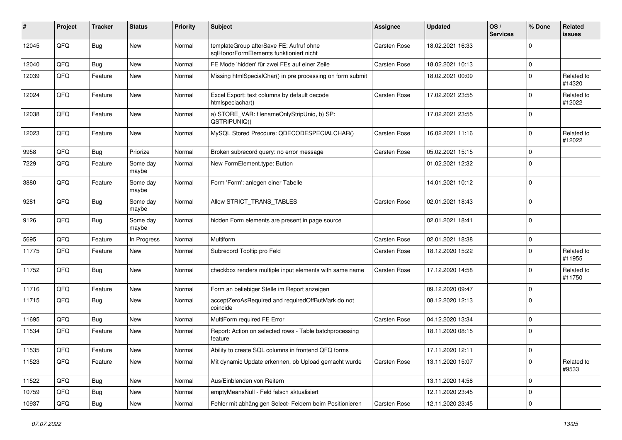| #     | Project | <b>Tracker</b> | <b>Status</b>     | <b>Priority</b> | <b>Subject</b>                                                                     | <b>Assignee</b> | <b>Updated</b>   | OS/<br><b>Services</b> | % Done      | Related<br>issues    |
|-------|---------|----------------|-------------------|-----------------|------------------------------------------------------------------------------------|-----------------|------------------|------------------------|-------------|----------------------|
| 12045 | QFQ     | Bug            | New               | Normal          | templateGroup afterSave FE: Aufruf ohne<br>sglHonorFormElements funktioniert nicht | Carsten Rose    | 18.02.2021 16:33 |                        | $\Omega$    |                      |
| 12040 | QFQ     | <b>Bug</b>     | New               | Normal          | FE Mode 'hidden' für zwei FEs auf einer Zeile                                      | Carsten Rose    | 18.02.2021 10:13 |                        | $\mathbf 0$ |                      |
| 12039 | QFQ     | Feature        | New               | Normal          | Missing htmlSpecialChar() in pre processing on form submit                         |                 | 18.02.2021 00:09 |                        | $\mathbf 0$ | Related to<br>#14320 |
| 12024 | QFQ     | Feature        | New               | Normal          | Excel Export: text columns by default decode<br>htmlspeciachar()                   | Carsten Rose    | 17.02.2021 23:55 |                        | $\Omega$    | Related to<br>#12022 |
| 12038 | QFQ     | Feature        | New               | Normal          | a) STORE_VAR: filenameOnlyStripUniq, b) SP:<br>QSTRIPUNIQ()                        |                 | 17.02.2021 23:55 |                        | $\Omega$    |                      |
| 12023 | QFQ     | Feature        | New               | Normal          | MySQL Stored Precdure: QDECODESPECIALCHAR()                                        | Carsten Rose    | 16.02.2021 11:16 |                        | $\mathbf 0$ | Related to<br>#12022 |
| 9958  | QFQ     | Bug            | Priorize          | Normal          | Broken subrecord query: no error message                                           | Carsten Rose    | 05.02.2021 15:15 |                        | $\mathbf 0$ |                      |
| 7229  | QFQ     | Feature        | Some day<br>maybe | Normal          | New FormElement.type: Button                                                       |                 | 01.02.2021 12:32 |                        | $\mathbf 0$ |                      |
| 3880  | QFQ     | Feature        | Some day<br>maybe | Normal          | Form 'Form': anlegen einer Tabelle                                                 |                 | 14.01.2021 10:12 |                        | $\mathbf 0$ |                      |
| 9281  | QFQ     | <b>Bug</b>     | Some day<br>maybe | Normal          | Allow STRICT_TRANS_TABLES                                                          | Carsten Rose    | 02.01.2021 18:43 |                        | $\mathbf 0$ |                      |
| 9126  | QFQ     | Bug            | Some day<br>maybe | Normal          | hidden Form elements are present in page source                                    |                 | 02.01.2021 18:41 |                        | $\Omega$    |                      |
| 5695  | QFQ     | Feature        | In Progress       | Normal          | Multiform                                                                          | Carsten Rose    | 02.01.2021 18:38 |                        | $\mathbf 0$ |                      |
| 11775 | QFQ     | Feature        | New               | Normal          | Subrecord Tooltip pro Feld                                                         | Carsten Rose    | 18.12.2020 15:22 |                        | $\mathbf 0$ | Related to<br>#11955 |
| 11752 | QFQ     | Bug            | New               | Normal          | checkbox renders multiple input elements with same name                            | Carsten Rose    | 17.12.2020 14:58 |                        | $\mathbf 0$ | Related to<br>#11750 |
| 11716 | QFQ     | Feature        | New               | Normal          | Form an beliebiger Stelle im Report anzeigen                                       |                 | 09.12.2020 09:47 |                        | $\mathbf 0$ |                      |
| 11715 | QFQ     | Bug            | New               | Normal          | acceptZeroAsRequired and requiredOffButMark do not<br>coincide                     |                 | 08.12.2020 12:13 |                        | $\Omega$    |                      |
| 11695 | QFQ     | Bug            | New               | Normal          | MultiForm required FE Error                                                        | Carsten Rose    | 04.12.2020 13:34 |                        | $\mathbf 0$ |                      |
| 11534 | QFQ     | Feature        | New               | Normal          | Report: Action on selected rows - Table batchprocessing<br>feature                 |                 | 18.11.2020 08:15 |                        | $\Omega$    |                      |
| 11535 | QFQ     | Feature        | <b>New</b>        | Normal          | Ability to create SQL columns in frontend QFQ forms                                |                 | 17.11.2020 12:11 |                        | $\Omega$    |                      |
| 11523 | QFQ     | Feature        | New               | Normal          | Mit dynamic Update erkennen, ob Upload gemacht wurde                               | Carsten Rose    | 13.11.2020 15:07 |                        | $\mathbf 0$ | Related to<br>#9533  |
| 11522 | QFQ     | <b>Bug</b>     | New               | Normal          | Aus/Einblenden von Reitern                                                         |                 | 13.11.2020 14:58 |                        | 0           |                      |
| 10759 | QFQ     | <b>Bug</b>     | New               | Normal          | emptyMeansNull - Feld falsch aktualisiert                                          |                 | 12.11.2020 23:45 |                        | $\pmb{0}$   |                      |
| 10937 | QFQ     | Bug            | New               | Normal          | Fehler mit abhängigen Select- Feldern beim Positionieren                           | Carsten Rose    | 12.11.2020 23:45 |                        | 0           |                      |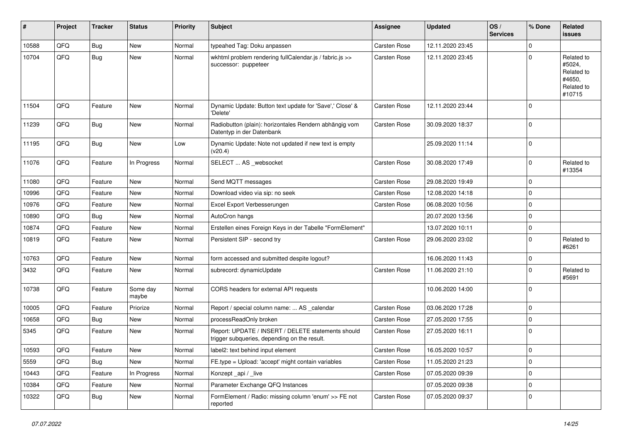| #     | Project | <b>Tracker</b> | <b>Status</b>     | <b>Priority</b> | <b>Subject</b>                                                                                     | <b>Assignee</b> | <b>Updated</b>   | OS/<br><b>Services</b> | % Done      | Related<br>issues                                                    |
|-------|---------|----------------|-------------------|-----------------|----------------------------------------------------------------------------------------------------|-----------------|------------------|------------------------|-------------|----------------------------------------------------------------------|
| 10588 | QFQ     | Bug            | New               | Normal          | typeahed Tag: Doku anpassen                                                                        | Carsten Rose    | 12.11.2020 23:45 |                        | $\mathbf 0$ |                                                                      |
| 10704 | QFQ     | <b>Bug</b>     | New               | Normal          | wkhtml problem rendering fullCalendar.js / fabric.js >><br>successor: puppeteer                    | Carsten Rose    | 12.11.2020 23:45 |                        | 0           | Related to<br>#5024,<br>Related to<br>#4650,<br>Related to<br>#10715 |
| 11504 | QFQ     | Feature        | New               | Normal          | Dynamic Update: Button text update for 'Save',' Close' &<br>'Delete'                               | Carsten Rose    | 12.11.2020 23:44 |                        | $\Omega$    |                                                                      |
| 11239 | QFQ     | Bug            | <b>New</b>        | Normal          | Radiobutton (plain): horizontales Rendern abhängig vom<br>Datentyp in der Datenbank                | Carsten Rose    | 30.09.2020 18:37 |                        | $\mathbf 0$ |                                                                      |
| 11195 | QFQ     | Bug            | New               | Low             | Dynamic Update: Note not updated if new text is empty<br>(v20.4)                                   |                 | 25.09.2020 11:14 |                        | 0           |                                                                      |
| 11076 | QFQ     | Feature        | In Progress       | Normal          | SELECT  AS _websocket                                                                              | Carsten Rose    | 30.08.2020 17:49 |                        | 0           | Related to<br>#13354                                                 |
| 11080 | QFQ     | Feature        | New               | Normal          | Send MQTT messages                                                                                 | Carsten Rose    | 29.08.2020 19:49 |                        | $\Omega$    |                                                                      |
| 10996 | QFQ     | Feature        | New               | Normal          | Download video via sip: no seek                                                                    | Carsten Rose    | 12.08.2020 14:18 |                        | $\Omega$    |                                                                      |
| 10976 | QFQ     | Feature        | New               | Normal          | Excel Export Verbesserungen                                                                        | Carsten Rose    | 06.08.2020 10:56 |                        | $\mathbf 0$ |                                                                      |
| 10890 | QFQ     | Bug            | New               | Normal          | AutoCron hangs                                                                                     |                 | 20.07.2020 13:56 |                        | $\Omega$    |                                                                      |
| 10874 | QFQ     | Feature        | New               | Normal          | Erstellen eines Foreign Keys in der Tabelle "FormElement"                                          |                 | 13.07.2020 10:11 |                        | $\mathbf 0$ |                                                                      |
| 10819 | QFQ     | Feature        | New               | Normal          | Persistent SIP - second try                                                                        | Carsten Rose    | 29.06.2020 23:02 |                        | $\mathbf 0$ | Related to<br>#6261                                                  |
| 10763 | QFQ     | Feature        | New               | Normal          | form accessed and submitted despite logout?                                                        |                 | 16.06.2020 11:43 |                        | 0           |                                                                      |
| 3432  | QFQ     | Feature        | New               | Normal          | subrecord: dynamicUpdate                                                                           | Carsten Rose    | 11.06.2020 21:10 |                        | $\mathbf 0$ | Related to<br>#5691                                                  |
| 10738 | QFQ     | Feature        | Some day<br>maybe | Normal          | CORS headers for external API requests                                                             |                 | 10.06.2020 14:00 |                        | $\Omega$    |                                                                      |
| 10005 | QFQ     | Feature        | Priorize          | Normal          | Report / special column name:  AS _calendar                                                        | Carsten Rose    | 03.06.2020 17:28 |                        | $\mathbf 0$ |                                                                      |
| 10658 | QFQ     | <b>Bug</b>     | New               | Normal          | processReadOnly broken                                                                             | Carsten Rose    | 27.05.2020 17:55 |                        | $\mathbf 0$ |                                                                      |
| 5345  | QFQ     | Feature        | New               | Normal          | Report: UPDATE / INSERT / DELETE statements should<br>trigger subqueries, depending on the result. | Carsten Rose    | 27.05.2020 16:11 |                        | $\Omega$    |                                                                      |
| 10593 | QFQ     | Feature        | <b>New</b>        | Normal          | label2: text behind input element                                                                  | Carsten Rose    | 16.05.2020 10:57 |                        | $\mathbf 0$ |                                                                      |
| 5559  | QFQ     | <b>Bug</b>     | New               | Normal          | FE.type = Upload: 'accept' might contain variables                                                 | Carsten Rose    | 11.05.2020 21:23 |                        | 0           |                                                                      |
| 10443 | QFQ     | Feature        | In Progress       | Normal          | Konzept_api / _live                                                                                | Carsten Rose    | 07.05.2020 09:39 |                        | 0           |                                                                      |
| 10384 | QFQ     | Feature        | New               | Normal          | Parameter Exchange QFQ Instances                                                                   |                 | 07.05.2020 09:38 |                        | 0           |                                                                      |
| 10322 | QFQ     | Bug            | New               | Normal          | FormElement / Radio: missing column 'enum' >> FE not<br>reported                                   | Carsten Rose    | 07.05.2020 09:37 |                        | 0           |                                                                      |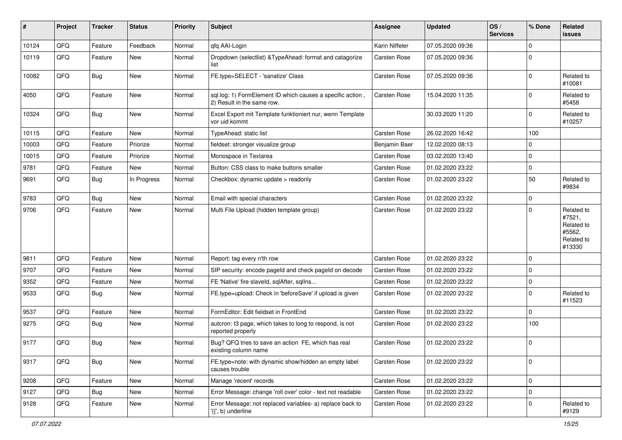| ∦     | Project | <b>Tracker</b> | <b>Status</b> | <b>Priority</b> | <b>Subject</b>                                                                           | <b>Assignee</b> | <b>Updated</b>   | OS/<br><b>Services</b> | % Done      | <b>Related</b><br>issues                                             |
|-------|---------|----------------|---------------|-----------------|------------------------------------------------------------------------------------------|-----------------|------------------|------------------------|-------------|----------------------------------------------------------------------|
| 10124 | QFQ     | Feature        | Feedback      | Normal          | qfq AAI-Login                                                                            | Karin Niffeler  | 07.05.2020 09:36 |                        | $\mathbf 0$ |                                                                      |
| 10119 | QFQ     | Feature        | New           | Normal          | Dropdown (selectlist) & TypeAhead: format and catagorize<br>list                         | Carsten Rose    | 07.05.2020 09:36 |                        | $\mathbf 0$ |                                                                      |
| 10082 | QFQ     | Bug            | <b>New</b>    | Normal          | FE.type=SELECT - 'sanatize' Class                                                        | Carsten Rose    | 07.05.2020 09:36 |                        | $\mathbf 0$ | Related to<br>#10081                                                 |
| 4050  | QFQ     | Feature        | <b>New</b>    | Normal          | sql.log: 1) FormElement ID which causes a specific action,<br>2) Result in the same row. | Carsten Rose    | 15.04.2020 11:35 |                        | $\mathbf 0$ | Related to<br>#5458                                                  |
| 10324 | QFQ     | Bug            | <b>New</b>    | Normal          | Excel Export mit Template funktioniert nur, wenn Template<br>vor uid kommt               |                 | 30.03.2020 11:20 |                        | $\mathbf 0$ | Related to<br>#10257                                                 |
| 10115 | QFQ     | Feature        | <b>New</b>    | Normal          | TypeAhead: static list                                                                   | Carsten Rose    | 26.02.2020 16:42 |                        | 100         |                                                                      |
| 10003 | QFQ     | Feature        | Priorize      | Normal          | fieldset: stronger visualize group                                                       | Benjamin Baer   | 12.02.2020 08:13 |                        | $\mathbf 0$ |                                                                      |
| 10015 | QFQ     | Feature        | Priorize      | Normal          | Monospace in Textarea                                                                    | Carsten Rose    | 03.02.2020 13:40 |                        | $\mathbf 0$ |                                                                      |
| 9781  | QFQ     | Feature        | New           | Normal          | Button: CSS class to make buttons smaller                                                | Carsten Rose    | 01.02.2020 23:22 |                        | $\mathbf 0$ |                                                                      |
| 9691  | QFQ     | Bug            | In Progress   | Normal          | Checkbox: dynamic update > readonly                                                      | Carsten Rose    | 01.02.2020 23:22 |                        | 50          | Related to<br>#9834                                                  |
| 9783  | QFQ     | Bug            | <b>New</b>    | Normal          | Email with special characters                                                            | Carsten Rose    | 01.02.2020 23:22 |                        | $\mathbf 0$ |                                                                      |
| 9706  | QFQ     | Feature        | <b>New</b>    | Normal          | Multi File Upload (hidden template group)                                                | Carsten Rose    | 01.02.2020 23:22 |                        | $\Omega$    | Related to<br>#7521,<br>Related to<br>#5562,<br>Related to<br>#13330 |
| 9811  | QFQ     | Feature        | New           | Normal          | Report: tag every n'th row                                                               | Carsten Rose    | 01.02.2020 23:22 |                        | 0           |                                                                      |
| 9707  | QFQ     | Feature        | <b>New</b>    | Normal          | SIP security: encode pageld and check pageld on decode                                   | Carsten Rose    | 01.02.2020 23:22 |                        | $\mathbf 0$ |                                                                      |
| 9352  | QFQ     | Feature        | <b>New</b>    | Normal          | FE 'Native' fire slaveld, sqlAfter, sqlIns                                               | Carsten Rose    | 01.02.2020 23:22 |                        | 0           |                                                                      |
| 9533  | QFQ     | Bug            | <b>New</b>    | Normal          | FE.type=upload: Check in 'beforeSave' if upload is given                                 | Carsten Rose    | 01.02.2020 23:22 |                        | $\mathbf 0$ | Related to<br>#11523                                                 |
| 9537  | QFQ     | Feature        | <b>New</b>    | Normal          | FormEditor: Edit fieldset in FrontEnd                                                    | Carsten Rose    | 01.02.2020 23:22 |                        | $\mathbf 0$ |                                                                      |
| 9275  | QFQ     | <b>Bug</b>     | New           | Normal          | autcron: t3 page, which takes to long to respond, is not<br>reported properly            | Carsten Rose    | 01.02.2020 23:22 |                        | 100         |                                                                      |
| 9177  | QFQ     | <b>Bug</b>     | <b>New</b>    | Normal          | Bug? QFQ tries to save an action FE, which has real<br>existing column name              | Carsten Rose    | 01.02.2020 23:22 |                        | $\mathbf 0$ |                                                                      |
| 9317  | QFQ     | <b>Bug</b>     | New           | Normal          | FE.type=note: with dynamic show/hidden an empty label<br>causes trouble                  | Carsten Rose    | 01.02.2020 23:22 |                        | $\mathbf 0$ |                                                                      |
| 9208  | QFQ     | Feature        | New           | Normal          | Manage 'recent' records                                                                  | Carsten Rose    | 01.02.2020 23:22 |                        | $\mathbf 0$ |                                                                      |
| 9127  | QFO     | <b>Bug</b>     | New           | Normal          | Error Message: change 'roll over' color - text not readable                              | Carsten Rose    | 01.02.2020 23:22 |                        | 0           |                                                                      |
| 9128  | QFQ     | Feature        | New           | Normal          | Error Message: not replaced variables- a) replace back to<br>'{{', b) underline          | Carsten Rose    | 01.02.2020 23:22 |                        | 0           | Related to<br>#9129                                                  |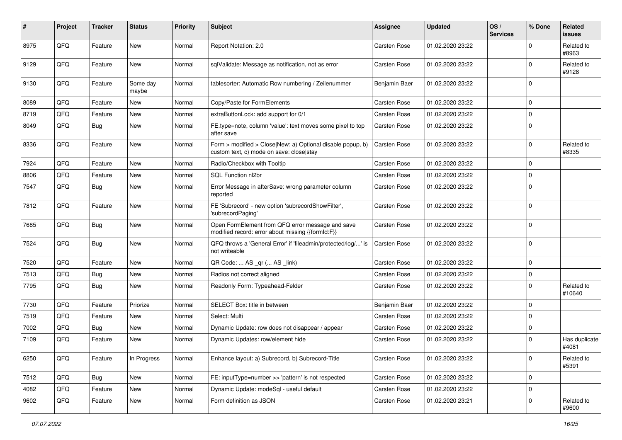| #    | Project | <b>Tracker</b> | <b>Status</b>     | <b>Priority</b> | Subject                                                                                                | <b>Assignee</b>     | <b>Updated</b>   | OS/<br><b>Services</b> | % Done      | <b>Related</b><br><b>issues</b> |
|------|---------|----------------|-------------------|-----------------|--------------------------------------------------------------------------------------------------------|---------------------|------------------|------------------------|-------------|---------------------------------|
| 8975 | QFQ     | Feature        | <b>New</b>        | Normal          | Report Notation: 2.0                                                                                   | Carsten Rose        | 01.02.2020 23:22 |                        | $\Omega$    | Related to<br>#8963             |
| 9129 | QFQ     | Feature        | New               | Normal          | sqlValidate: Message as notification, not as error                                                     | <b>Carsten Rose</b> | 01.02.2020 23:22 |                        | $\mathbf 0$ | Related to<br>#9128             |
| 9130 | QFQ     | Feature        | Some day<br>maybe | Normal          | tablesorter: Automatic Row numbering / Zeilenummer                                                     | Benjamin Baer       | 01.02.2020 23:22 |                        | $\mathbf 0$ |                                 |
| 8089 | QFQ     | Feature        | New               | Normal          | Copy/Paste for FormElements                                                                            | <b>Carsten Rose</b> | 01.02.2020 23:22 |                        | $\mathbf 0$ |                                 |
| 8719 | QFQ     | Feature        | New               | Normal          | extraButtonLock: add support for 0/1                                                                   | Carsten Rose        | 01.02.2020 23:22 |                        | $\Omega$    |                                 |
| 8049 | QFQ     | Bug            | New               | Normal          | FE.type=note, column 'value': text moves some pixel to top<br>after save                               | Carsten Rose        | 01.02.2020 23:22 |                        | $\mathbf 0$ |                                 |
| 8336 | QFQ     | Feature        | New               | Normal          | Form > modified > Close New: a) Optional disable popup, b)<br>custom text, c) mode on save: close stay | Carsten Rose        | 01.02.2020 23:22 |                        | $\mathbf 0$ | Related to<br>#8335             |
| 7924 | QFQ     | Feature        | New               | Normal          | Radio/Checkbox with Tooltip                                                                            | Carsten Rose        | 01.02.2020 23:22 |                        | $\mathbf 0$ |                                 |
| 8806 | QFQ     | Feature        | New               | Normal          | SQL Function nl2br                                                                                     | Carsten Rose        | 01.02.2020 23:22 |                        | $\Omega$    |                                 |
| 7547 | QFQ     | Bug            | New               | Normal          | Error Message in afterSave: wrong parameter column<br>reported                                         | Carsten Rose        | 01.02.2020 23:22 |                        | $\mathbf 0$ |                                 |
| 7812 | QFQ     | Feature        | New               | Normal          | FE 'Subrecord' - new option 'subrecordShowFilter',<br>'subrecordPaging'                                | Carsten Rose        | 01.02.2020 23:22 |                        | $\mathbf 0$ |                                 |
| 7685 | QFQ     | Bug            | New               | Normal          | Open FormElement from QFQ error message and save<br>modified record: error about missing {{formId:F}}  | Carsten Rose        | 01.02.2020 23:22 |                        | $\mathbf 0$ |                                 |
| 7524 | QFQ     | Bug            | New               | Normal          | QFQ throws a 'General Error' if 'fileadmin/protected/log/' is<br>not writeable                         | Carsten Rose        | 01.02.2020 23:22 |                        | $\mathbf 0$ |                                 |
| 7520 | QFQ     | Feature        | New               | Normal          | QR Code:  AS _qr ( AS _link)                                                                           | Carsten Rose        | 01.02.2020 23:22 |                        | $\mathbf 0$ |                                 |
| 7513 | QFQ     | Bug            | New               | Normal          | Radios not correct aligned                                                                             | Carsten Rose        | 01.02.2020 23:22 |                        | 0           |                                 |
| 7795 | QFQ     | Bug            | New               | Normal          | Readonly Form: Typeahead-Felder                                                                        | Carsten Rose        | 01.02.2020 23:22 |                        | $\mathbf 0$ | Related to<br>#10640            |
| 7730 | QFQ     | Feature        | Priorize          | Normal          | SELECT Box: title in between                                                                           | Benjamin Baer       | 01.02.2020 23:22 |                        | $\Omega$    |                                 |
| 7519 | QFQ     | Feature        | New               | Normal          | Select: Multi                                                                                          | Carsten Rose        | 01.02.2020 23:22 |                        | $\mathbf 0$ |                                 |
| 7002 | QFQ     | Bug            | New               | Normal          | Dynamic Update: row does not disappear / appear                                                        | <b>Carsten Rose</b> | 01.02.2020 23:22 |                        | $\mathbf 0$ |                                 |
| 7109 | QFQ     | Feature        | New               | Normal          | Dynamic Updates: row/element hide                                                                      | Carsten Rose        | 01.02.2020 23:22 |                        | $\mathbf 0$ | Has duplicate<br>#4081          |
| 6250 | QFQ     | Feature        | In Progress       | Normal          | Enhance layout: a) Subrecord, b) Subrecord-Title                                                       | Carsten Rose        | 01.02.2020 23:22 |                        | $\mathbf 0$ | Related to<br>#5391             |
| 7512 | QFQ     | Bug            | New               | Normal          | FE: inputType=number >> 'pattern' is not respected                                                     | Carsten Rose        | 01.02.2020 23:22 |                        | $\mathbf 0$ |                                 |
| 4082 | QFQ     | Feature        | New               | Normal          | Dynamic Update: modeSql - useful default                                                               | Carsten Rose        | 01.02.2020 23:22 |                        | $\mathbf 0$ |                                 |
| 9602 | QFQ     | Feature        | New               | Normal          | Form definition as JSON                                                                                | Carsten Rose        | 01.02.2020 23:21 |                        | 0           | Related to<br>#9600             |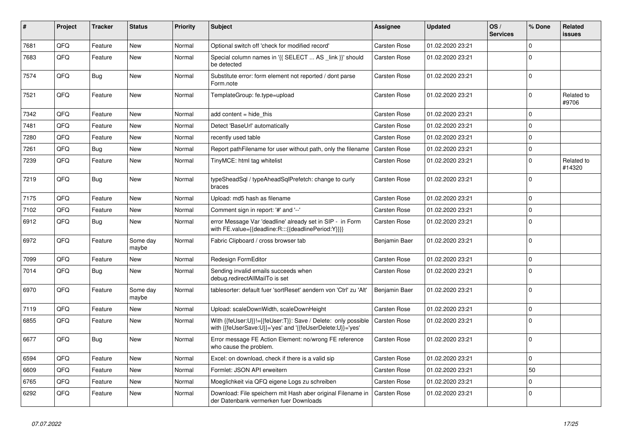| $\vert$ # | Project | <b>Tracker</b> | <b>Status</b>     | <b>Priority</b> | <b>Subject</b>                                                                                                             | <b>Assignee</b> | <b>Updated</b>   | OS/<br><b>Services</b> | % Done      | Related<br><b>issues</b> |
|-----------|---------|----------------|-------------------|-----------------|----------------------------------------------------------------------------------------------------------------------------|-----------------|------------------|------------------------|-------------|--------------------------|
| 7681      | QFQ     | Feature        | <b>New</b>        | Normal          | Optional switch off 'check for modified record'                                                                            | Carsten Rose    | 01.02.2020 23:21 |                        | $\Omega$    |                          |
| 7683      | QFQ     | Feature        | New               | Normal          | Special column names in '{{ SELECT  AS _link }}' should<br>be detected                                                     | Carsten Rose    | 01.02.2020 23:21 |                        | $\Omega$    |                          |
| 7574      | QFQ     | Bug            | New               | Normal          | Substitute error: form element not reported / dont parse<br>Form.note                                                      | Carsten Rose    | 01.02.2020 23:21 |                        | $\Omega$    |                          |
| 7521      | QFQ     | Feature        | New               | Normal          | TemplateGroup: fe.type=upload                                                                                              | Carsten Rose    | 01.02.2020 23:21 |                        | $\Omega$    | Related to<br>#9706      |
| 7342      | QFQ     | Feature        | <b>New</b>        | Normal          | add content = hide this                                                                                                    | Carsten Rose    | 01.02.2020 23:21 |                        | $\Omega$    |                          |
| 7481      | QFQ     | Feature        | <b>New</b>        | Normal          | Detect 'BaseUrl' automatically                                                                                             | Carsten Rose    | 01.02.2020 23:21 |                        | $\mathbf 0$ |                          |
| 7280      | QFQ     | Feature        | <b>New</b>        | Normal          | recently used table                                                                                                        | Carsten Rose    | 01.02.2020 23:21 |                        | $\mathbf 0$ |                          |
| 7261      | QFQ     | Bug            | <b>New</b>        | Normal          | Report pathFilename for user without path, only the filename                                                               | Carsten Rose    | 01.02.2020 23:21 |                        | $\mathbf 0$ |                          |
| 7239      | QFQ     | Feature        | <b>New</b>        | Normal          | TinyMCE: html tag whitelist                                                                                                | Carsten Rose    | 01.02.2020 23:21 |                        | $\Omega$    | Related to<br>#14320     |
| 7219      | QFQ     | <b>Bug</b>     | New               | Normal          | typeSheadSql / typeAheadSqlPrefetch: change to curly<br>braces                                                             | Carsten Rose    | 01.02.2020 23:21 |                        | $\Omega$    |                          |
| 7175      | QFQ     | Feature        | New               | Normal          | Upload: md5 hash as filename                                                                                               | Carsten Rose    | 01.02.2020 23:21 |                        | $\mathbf 0$ |                          |
| 7102      | QFQ     | Feature        | New               | Normal          | Comment sign in report: '#' and '--'                                                                                       | Carsten Rose    | 01.02.2020 23:21 |                        | $\Omega$    |                          |
| 6912      | QFQ     | <b>Bug</b>     | New               | Normal          | error Message Var 'deadline' already set in SIP - in Form<br>with FE.value={{deadline:R:::{{deadlinePeriod:Y}}}}           | Carsten Rose    | 01.02.2020 23:21 |                        | $\Omega$    |                          |
| 6972      | QFQ     | Feature        | Some day<br>maybe | Normal          | Fabric Clipboard / cross browser tab                                                                                       | Benjamin Baer   | 01.02.2020 23:21 |                        | $\Omega$    |                          |
| 7099      | QFQ     | Feature        | <b>New</b>        | Normal          | Redesign FormEditor                                                                                                        | Carsten Rose    | 01.02.2020 23:21 |                        | $\mathbf 0$ |                          |
| 7014      | QFQ     | Bug            | <b>New</b>        | Normal          | Sending invalid emails succeeds when<br>debug.redirectAllMailTo is set                                                     | Carsten Rose    | 01.02.2020 23:21 |                        | $\Omega$    |                          |
| 6970      | QFQ     | Feature        | Some day<br>maybe | Normal          | tablesorter: default fuer 'sortReset' aendern von 'Ctrl' zu 'Alt'                                                          | Benjamin Baer   | 01.02.2020 23:21 |                        | $\Omega$    |                          |
| 7119      | QFQ     | Feature        | <b>New</b>        | Normal          | Upload: scaleDownWidth, scaleDownHeight                                                                                    | Carsten Rose    | 01.02.2020 23:21 |                        | $\Omega$    |                          |
| 6855      | QFQ     | Feature        | New               | Normal          | With {{feUser:U}}!={{feUser:T}}: Save / Delete: only possible<br>with {{feUserSave:U}}='yes' and '{{feUserDelete:U}}='yes' | Carsten Rose    | 01.02.2020 23:21 |                        | $\Omega$    |                          |
| 6677      | QFQ     | <b>Bug</b>     | New               | Normal          | Error message FE Action Element: no/wrong FE reference<br>who cause the problem.                                           | Carsten Rose    | 01.02.2020 23:21 |                        | $\Omega$    |                          |
| 6594      | QFQ     | Feature        | New               | Normal          | Excel: on download, check if there is a valid sip                                                                          | Carsten Rose    | 01.02.2020 23:21 |                        | $\mathbf 0$ |                          |
| 6609      | QFQ     | Feature        | New               | Normal          | Formlet: JSON API erweitern                                                                                                | Carsten Rose    | 01.02.2020 23:21 |                        | 50          |                          |
| 6765      | QFQ     | Feature        | New               | Normal          | Moeglichkeit via QFQ eigene Logs zu schreiben                                                                              | Carsten Rose    | 01.02.2020 23:21 |                        | $\mathbf 0$ |                          |
| 6292      | QFQ     | Feature        | New               | Normal          | Download: File speichern mit Hash aber original Filename in<br>der Datenbank vermerken fuer Downloads                      | Carsten Rose    | 01.02.2020 23:21 |                        | $\Omega$    |                          |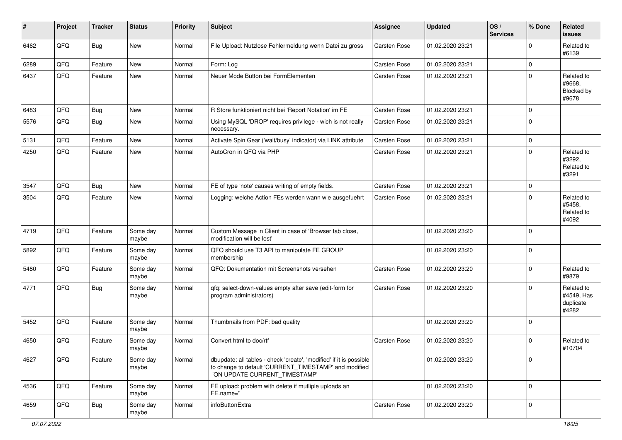| #    | Project | <b>Tracker</b> | <b>Status</b>     | <b>Priority</b> | <b>Subject</b>                                                                                                                                                | <b>Assignee</b> | <b>Updated</b>   | OS/<br><b>Services</b> | % Done      | Related<br>issues                              |
|------|---------|----------------|-------------------|-----------------|---------------------------------------------------------------------------------------------------------------------------------------------------------------|-----------------|------------------|------------------------|-------------|------------------------------------------------|
| 6462 | QFQ     | Bug            | New               | Normal          | File Upload: Nutzlose Fehlermeldung wenn Datei zu gross                                                                                                       | Carsten Rose    | 01.02.2020 23:21 |                        | 0           | Related to<br>#6139                            |
| 6289 | QFQ     | Feature        | New               | Normal          | Form: Log                                                                                                                                                     | Carsten Rose    | 01.02.2020 23:21 |                        | $\mathbf 0$ |                                                |
| 6437 | QFQ     | Feature        | <b>New</b>        | Normal          | Neuer Mode Button bei FormElementen                                                                                                                           | Carsten Rose    | 01.02.2020 23:21 |                        | 0           | Related to<br>#9668,<br>Blocked by<br>#9678    |
| 6483 | QFQ     | <b>Bug</b>     | <b>New</b>        | Normal          | R Store funktioniert nicht bei 'Report Notation' im FE                                                                                                        | Carsten Rose    | 01.02.2020 23:21 |                        | 0           |                                                |
| 5576 | QFQ     | <b>Bug</b>     | <b>New</b>        | Normal          | Using MySQL 'DROP' requires privilege - wich is not really<br>necessary.                                                                                      | Carsten Rose    | 01.02.2020 23:21 |                        | $\Omega$    |                                                |
| 5131 | QFQ     | Feature        | <b>New</b>        | Normal          | Activate Spin Gear ('wait/busy' indicator) via LINK attribute                                                                                                 | Carsten Rose    | 01.02.2020 23:21 |                        | 0           |                                                |
| 4250 | QFQ     | Feature        | <b>New</b>        | Normal          | AutoCron in QFQ via PHP                                                                                                                                       | Carsten Rose    | 01.02.2020 23:21 |                        | $\Omega$    | Related to<br>#3292.<br>Related to<br>#3291    |
| 3547 | QFQ     | Bug            | <b>New</b>        | Normal          | FE of type 'note' causes writing of empty fields.                                                                                                             | Carsten Rose    | 01.02.2020 23:21 |                        | 0           |                                                |
| 3504 | QFQ     | Feature        | New               | Normal          | Logging: welche Action FEs werden wann wie ausgefuehrt                                                                                                        | Carsten Rose    | 01.02.2020 23:21 |                        | $\Omega$    | Related to<br>#5458,<br>Related to<br>#4092    |
| 4719 | QFQ     | Feature        | Some day<br>maybe | Normal          | Custom Message in Client in case of 'Browser tab close,<br>modification will be lost'                                                                         |                 | 01.02.2020 23:20 |                        | 0           |                                                |
| 5892 | QFQ     | Feature        | Some day<br>maybe | Normal          | QFQ should use T3 API to manipulate FE GROUP<br>membership                                                                                                    |                 | 01.02.2020 23:20 |                        | $\mathbf 0$ |                                                |
| 5480 | QFQ     | Feature        | Some day<br>maybe | Normal          | QFQ: Dokumentation mit Screenshots versehen                                                                                                                   | Carsten Rose    | 01.02.2020 23:20 |                        | 0           | Related to<br>#9879                            |
| 4771 | QFQ     | Bug            | Some day<br>maybe | Normal          | qfq: select-down-values empty after save (edit-form for<br>program administrators)                                                                            | Carsten Rose    | 01.02.2020 23:20 |                        | $\Omega$    | Related to<br>#4549, Has<br>duplicate<br>#4282 |
| 5452 | QFQ     | Feature        | Some day<br>maybe | Normal          | Thumbnails from PDF: bad quality                                                                                                                              |                 | 01.02.2020 23:20 |                        | $\Omega$    |                                                |
| 4650 | QFQ     | Feature        | Some day<br>maybe | Normal          | Convert html to doc/rtf                                                                                                                                       | Carsten Rose    | 01.02.2020 23:20 |                        | $\Omega$    | Related to<br>#10704                           |
| 4627 | QFQ     | Feature        | Some day<br>maybe | Normal          | dbupdate: all tables - check 'create', 'modified' if it is possible<br>to change to default 'CURRENT_TIMESTAMP' and modified<br>'ON UPDATE CURRENT_TIMESTAMP' |                 | 01.02.2020 23:20 |                        | $\mathbf 0$ |                                                |
| 4536 | QFQ     | Feature        | Some day<br>maybe | Normal          | FE upload: problem with delete if mutliple uploads an<br>FE.name="                                                                                            |                 | 01.02.2020 23:20 |                        | $\pmb{0}$   |                                                |
| 4659 | QFQ     | Bug            | Some day<br>maybe | Normal          | infoButtonExtra                                                                                                                                               | Carsten Rose    | 01.02.2020 23:20 |                        | $\pmb{0}$   |                                                |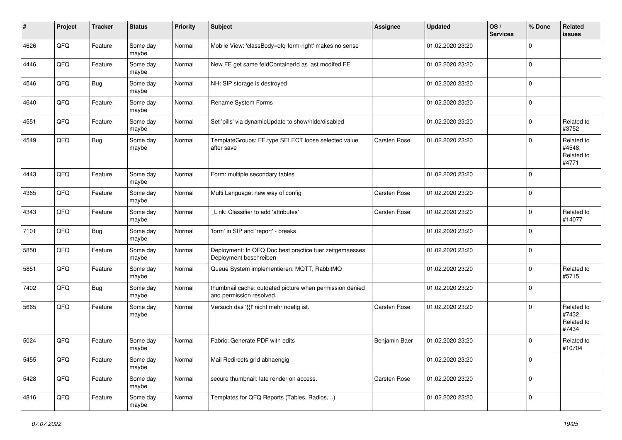| #    | Project | <b>Tracker</b> | <b>Status</b>     | <b>Priority</b> | <b>Subject</b>                                                                       | <b>Assignee</b> | <b>Updated</b>   | OS/<br><b>Services</b> | % Done      | Related<br>issues                           |
|------|---------|----------------|-------------------|-----------------|--------------------------------------------------------------------------------------|-----------------|------------------|------------------------|-------------|---------------------------------------------|
| 4626 | QFQ     | Feature        | Some day<br>maybe | Normal          | Mobile View: 'classBody=qfq-form-right' makes no sense                               |                 | 01.02.2020 23:20 |                        | $\mathbf 0$ |                                             |
| 4446 | QFQ     | Feature        | Some day<br>maybe | Normal          | New FE get same feldContainerId as last modifed FE                                   |                 | 01.02.2020 23:20 |                        | $\mathbf 0$ |                                             |
| 4546 | QFQ     | Bug            | Some day<br>maybe | Normal          | NH: SIP storage is destroyed                                                         |                 | 01.02.2020 23:20 |                        | 0           |                                             |
| 4640 | QFQ     | Feature        | Some day<br>maybe | Normal          | Rename System Forms                                                                  |                 | 01.02.2020 23:20 |                        | 0           |                                             |
| 4551 | QFQ     | Feature        | Some day<br>maybe | Normal          | Set 'pills' via dynamicUpdate to show/hide/disabled                                  |                 | 01.02.2020 23:20 |                        | 0           | Related to<br>#3752                         |
| 4549 | QFQ     | Bug            | Some day<br>maybe | Normal          | TemplateGroups: FE.type SELECT loose selected value<br>after save                    | Carsten Rose    | 01.02.2020 23:20 |                        | 0           | Related to<br>#4548,<br>Related to<br>#4771 |
| 4443 | QFQ     | Feature        | Some day<br>maybe | Normal          | Form: multiple secondary tables                                                      |                 | 01.02.2020 23:20 |                        | 0           |                                             |
| 4365 | QFQ     | Feature        | Some day<br>maybe | Normal          | Multi Language: new way of config                                                    | Carsten Rose    | 01.02.2020 23:20 |                        | $\mathbf 0$ |                                             |
| 4343 | QFQ     | Feature        | Some day<br>maybe | Normal          | Link: Classifier to add 'attributes'                                                 | Carsten Rose    | 01.02.2020 23:20 |                        | $\mathbf 0$ | Related to<br>#14077                        |
| 7101 | QFQ     | Bug            | Some day<br>maybe | Normal          | 'form' in SIP and 'report' - breaks                                                  |                 | 01.02.2020 23:20 |                        | $\mathbf 0$ |                                             |
| 5850 | QFQ     | Feature        | Some day<br>maybe | Normal          | Deployment: In QFQ Doc best practice fuer zeitgemaesses<br>Deployment beschreiben    |                 | 01.02.2020 23:20 |                        | 0           |                                             |
| 5851 | QFQ     | Feature        | Some day<br>maybe | Normal          | Queue System implementieren: MQTT, RabbitMQ                                          |                 | 01.02.2020 23:20 |                        | 0           | Related to<br>#5715                         |
| 7402 | QFQ     | Bug            | Some day<br>maybe | Normal          | thumbnail cache: outdated picture when permission denied<br>and permission resolved. |                 | 01.02.2020 23:20 |                        | $\Omega$    |                                             |
| 5665 | QFQ     | Feature        | Some day<br>maybe | Normal          | Versuch das '{{!' nicht mehr noetig ist.                                             | Carsten Rose    | 01.02.2020 23:20 |                        | 0           | Related to<br>#7432,<br>Related to<br>#7434 |
| 5024 | QFQ     | Feature        | Some day<br>maybe | Normal          | Fabric: Generate PDF with edits                                                      | Benjamin Baer   | 01.02.2020 23:20 |                        | $\Omega$    | Related to<br>#10704                        |
| 5455 | QFQ     | Feature        | Some day<br>maybe | Normal          | Mail Redirects grld abhaengig                                                        |                 | 01.02.2020 23:20 |                        | $\pmb{0}$   |                                             |
| 5428 | QFQ     | Feature        | Some day<br>maybe | Normal          | secure thumbnail: late render on access.                                             | Carsten Rose    | 01.02.2020 23:20 |                        | $\pmb{0}$   |                                             |
| 4816 | QFQ     | Feature        | Some day<br>maybe | Normal          | Templates for QFQ Reports (Tables, Radios, )                                         |                 | 01.02.2020 23:20 |                        | $\pmb{0}$   |                                             |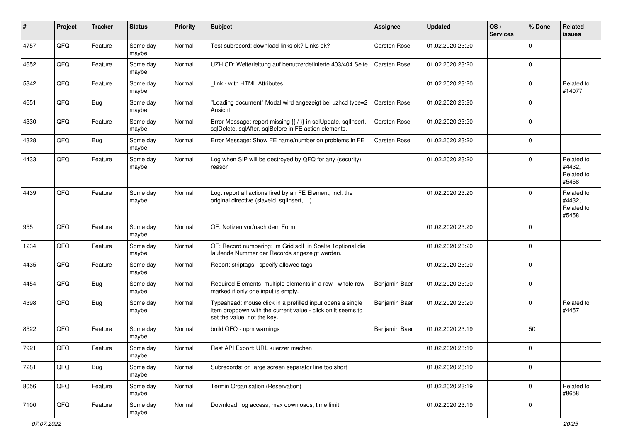| $\#$ | Project | <b>Tracker</b> | <b>Status</b>     | <b>Priority</b> | Subject                                                                                                                                                  | <b>Assignee</b> | <b>Updated</b>   | OS/<br><b>Services</b> | % Done      | Related<br>issues                           |
|------|---------|----------------|-------------------|-----------------|----------------------------------------------------------------------------------------------------------------------------------------------------------|-----------------|------------------|------------------------|-------------|---------------------------------------------|
| 4757 | QFQ     | Feature        | Some day<br>maybe | Normal          | Test subrecord: download links ok? Links ok?                                                                                                             | Carsten Rose    | 01.02.2020 23:20 |                        | $\Omega$    |                                             |
| 4652 | QFQ     | Feature        | Some day<br>maybe | Normal          | UZH CD: Weiterleitung auf benutzerdefinierte 403/404 Seite                                                                                               | Carsten Rose    | 01.02.2020 23:20 |                        | $\Omega$    |                                             |
| 5342 | QFQ     | Feature        | Some day<br>maybe | Normal          | link - with HTML Attributes                                                                                                                              |                 | 01.02.2020 23:20 |                        | $\Omega$    | Related to<br>#14077                        |
| 4651 | QFQ     | Bug            | Some day<br>maybe | Normal          | "Loading document" Modal wird angezeigt bei uzhcd type=2<br>Ansicht                                                                                      | Carsten Rose    | 01.02.2020 23:20 |                        | $\Omega$    |                                             |
| 4330 | QFQ     | Feature        | Some day<br>maybe | Normal          | Error Message: report missing {{ / }} in sqlUpdate, sqlInsert,<br>sqlDelete, sqlAfter, sqlBefore in FE action elements.                                  | Carsten Rose    | 01.02.2020 23:20 |                        | $\Omega$    |                                             |
| 4328 | QFQ     | <b>Bug</b>     | Some day<br>maybe | Normal          | Error Message: Show FE name/number on problems in FE                                                                                                     | Carsten Rose    | 01.02.2020 23:20 |                        | $\Omega$    |                                             |
| 4433 | QFQ     | Feature        | Some day<br>maybe | Normal          | Log when SIP will be destroyed by QFQ for any (security)<br>reason                                                                                       |                 | 01.02.2020 23:20 |                        | $\Omega$    | Related to<br>#4432,<br>Related to<br>#5458 |
| 4439 | QFQ     | Feature        | Some day<br>maybe | Normal          | Log: report all actions fired by an FE Element, incl. the<br>original directive (slaveld, sqllnsert, )                                                   |                 | 01.02.2020 23:20 |                        | $\Omega$    | Related to<br>#4432,<br>Related to<br>#5458 |
| 955  | QFQ     | Feature        | Some day<br>maybe | Normal          | QF: Notizen vor/nach dem Form                                                                                                                            |                 | 01.02.2020 23:20 |                        | $\Omega$    |                                             |
| 1234 | QFQ     | Feature        | Some day<br>maybe | Normal          | QF: Record numbering: Im Grid soll in Spalte 1 optional die<br>laufende Nummer der Records angezeigt werden.                                             |                 | 01.02.2020 23:20 |                        | $\Omega$    |                                             |
| 4435 | QFQ     | Feature        | Some day<br>maybe | Normal          | Report: striptags - specify allowed tags                                                                                                                 |                 | 01.02.2020 23:20 |                        | $\Omega$    |                                             |
| 4454 | QFQ     | <b>Bug</b>     | Some day<br>maybe | Normal          | Required Elements: multiple elements in a row - whole row<br>marked if only one input is empty.                                                          | Benjamin Baer   | 01.02.2020 23:20 |                        | $\Omega$    |                                             |
| 4398 | QFQ     | <b>Bug</b>     | Some day<br>maybe | Normal          | Typeahead: mouse click in a prefilled input opens a single<br>item dropdown with the current value - click on it seems to<br>set the value, not the key. | Benjamin Baer   | 01.02.2020 23:20 |                        | $\Omega$    | Related to<br>#4457                         |
| 8522 | QFQ     | Feature        | Some day<br>maybe | Normal          | build QFQ - npm warnings                                                                                                                                 | Benjamin Baer   | 01.02.2020 23:19 |                        | 50          |                                             |
| 7921 | QFQ     | Feature        | Some day<br>maybe | Normal          | Rest API Export: URL kuerzer machen                                                                                                                      |                 | 01.02.2020 23:19 |                        | $\mathbf 0$ |                                             |
| 7281 | QFQ     | Bug            | Some day<br>maybe | Normal          | Subrecords: on large screen separator line too short                                                                                                     |                 | 01.02.2020 23:19 |                        | $\mathbf 0$ |                                             |
| 8056 | QFQ     | Feature        | Some day<br>maybe | Normal          | Termin Organisation (Reservation)                                                                                                                        |                 | 01.02.2020 23:19 |                        | $\mathbf 0$ | Related to<br>#8658                         |
| 7100 | QFQ     | Feature        | Some day<br>maybe | Normal          | Download: log access, max downloads, time limit                                                                                                          |                 | 01.02.2020 23:19 |                        | $\mathbf 0$ |                                             |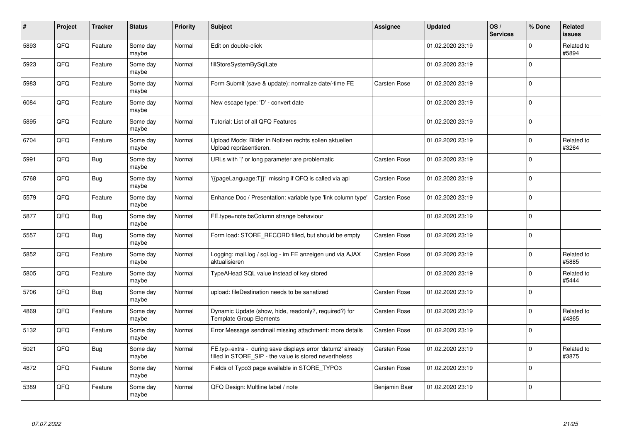| #    | Project | <b>Tracker</b> | <b>Status</b>     | <b>Priority</b> | <b>Subject</b>                                                                                                       | Assignee            | <b>Updated</b>   | OS/<br><b>Services</b> | % Done      | <b>Related</b><br><b>issues</b> |
|------|---------|----------------|-------------------|-----------------|----------------------------------------------------------------------------------------------------------------------|---------------------|------------------|------------------------|-------------|---------------------------------|
| 5893 | QFQ     | Feature        | Some day<br>maybe | Normal          | Edit on double-click                                                                                                 |                     | 01.02.2020 23:19 |                        | $\mathbf 0$ | Related to<br>#5894             |
| 5923 | QFQ     | Feature        | Some day<br>maybe | Normal          | fillStoreSystemBySqlLate                                                                                             |                     | 01.02.2020 23:19 |                        | $\mathbf 0$ |                                 |
| 5983 | QFQ     | Feature        | Some day<br>maybe | Normal          | Form Submit (save & update): normalize date/-time FE                                                                 | Carsten Rose        | 01.02.2020 23:19 |                        | $\mathbf 0$ |                                 |
| 6084 | QFQ     | Feature        | Some day<br>maybe | Normal          | New escape type: 'D' - convert date                                                                                  |                     | 01.02.2020 23:19 |                        | $\mathbf 0$ |                                 |
| 5895 | QFQ     | Feature        | Some day<br>maybe | Normal          | Tutorial: List of all QFQ Features                                                                                   |                     | 01.02.2020 23:19 |                        | $\mathbf 0$ |                                 |
| 6704 | QFQ     | Feature        | Some day<br>maybe | Normal          | Upload Mode: Bilder in Notizen rechts sollen aktuellen<br>Upload repräsentieren.                                     |                     | 01.02.2020 23:19 |                        | $\mathbf 0$ | Related to<br>#3264             |
| 5991 | QFQ     | <b>Bug</b>     | Some day<br>maybe | Normal          | URLs with ' ' or long parameter are problematic                                                                      | Carsten Rose        | 01.02.2020 23:19 |                        | $\mathbf 0$ |                                 |
| 5768 | QFQ     | Bug            | Some day<br>maybe | Normal          | '{{pageLanguage:T}}' missing if QFQ is called via api                                                                | Carsten Rose        | 01.02.2020 23:19 |                        | $\Omega$    |                                 |
| 5579 | QFQ     | Feature        | Some day<br>maybe | Normal          | Enhance Doc / Presentation: variable type 'link column type'                                                         | Carsten Rose        | 01.02.2020 23:19 |                        | $\mathbf 0$ |                                 |
| 5877 | QFQ     | <b>Bug</b>     | Some day<br>maybe | Normal          | FE.type=note:bsColumn strange behaviour                                                                              |                     | 01.02.2020 23:19 |                        | $\mathbf 0$ |                                 |
| 5557 | QFQ     | <b>Bug</b>     | Some day<br>maybe | Normal          | Form load: STORE_RECORD filled, but should be empty                                                                  | <b>Carsten Rose</b> | 01.02.2020 23:19 |                        | $\mathbf 0$ |                                 |
| 5852 | QFQ     | Feature        | Some day<br>maybe | Normal          | Logging: mail.log / sql.log - im FE anzeigen und via AJAX<br>aktualisieren                                           | Carsten Rose        | 01.02.2020 23:19 |                        | $\mathbf 0$ | Related to<br>#5885             |
| 5805 | QFQ     | Feature        | Some day<br>maybe | Normal          | TypeAHead SQL value instead of key stored                                                                            |                     | 01.02.2020 23:19 |                        | $\Omega$    | Related to<br>#5444             |
| 5706 | QFQ     | Bug            | Some day<br>maybe | Normal          | upload: fileDestination needs to be sanatized                                                                        | <b>Carsten Rose</b> | 01.02.2020 23:19 |                        | $\mathbf 0$ |                                 |
| 4869 | QFQ     | Feature        | Some day<br>maybe | Normal          | Dynamic Update (show, hide, readonly?, required?) for<br><b>Template Group Elements</b>                              | Carsten Rose        | 01.02.2020 23:19 |                        | $\Omega$    | Related to<br>#4865             |
| 5132 | QFQ     | Feature        | Some day<br>maybe | Normal          | Error Message sendmail missing attachment: more details                                                              | Carsten Rose        | 01.02.2020 23:19 |                        | $\Omega$    |                                 |
| 5021 | QFQ     | Bug            | Some day<br>maybe | Normal          | FE.typ=extra - during save displays error 'datum2' already<br>filled in STORE_SIP - the value is stored nevertheless | Carsten Rose        | 01.02.2020 23:19 |                        | $\Omega$    | Related to<br>#3875             |
| 4872 | QFQ     | Feature        | Some day<br>maybe | Normal          | Fields of Typo3 page available in STORE_TYPO3                                                                        | Carsten Rose        | 01.02.2020 23:19 |                        | $\mathbf 0$ |                                 |
| 5389 | QFQ     | Feature        | Some day<br>maybe | Normal          | QFQ Design: Multline label / note                                                                                    | Benjamin Baer       | 01.02.2020 23:19 |                        | $\Omega$    |                                 |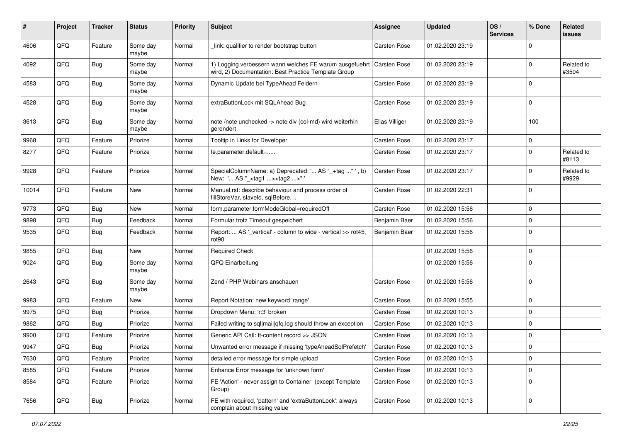| #     | Project | <b>Tracker</b> | <b>Status</b>     | <b>Priority</b> | Subject                                                                                                         | <b>Assignee</b> | <b>Updated</b>   | OS/<br><b>Services</b> | % Done      | Related<br>issues   |
|-------|---------|----------------|-------------------|-----------------|-----------------------------------------------------------------------------------------------------------------|-----------------|------------------|------------------------|-------------|---------------------|
| 4606  | QFQ     | Feature        | Some day<br>maybe | Normal          | link: qualifier to render bootstrap button                                                                      | Carsten Rose    | 01.02.2020 23:19 |                        | $\Omega$    |                     |
| 4092  | QFQ     | Bug            | Some day<br>maybe | Normal          | 1) Logging verbessern wann welches FE warum ausgefuehrt<br>wird, 2) Documentation: Best Practice Template Group | Carsten Rose    | 01.02.2020 23:19 |                        | $\Omega$    | Related to<br>#3504 |
| 4583  | QFQ     | Bug            | Some day<br>maybe | Normal          | Dynamic Update bei TypeAhead Feldern                                                                            | Carsten Rose    | 01.02.2020 23:19 |                        | $\Omega$    |                     |
| 4528  | QFQ     | <b>Bug</b>     | Some day<br>maybe | Normal          | extraButtonLock mit SQLAhead Bug                                                                                | Carsten Rose    | 01.02.2020 23:19 |                        | $\Omega$    |                     |
| 3613  | QFQ     | Bug            | Some day<br>maybe | Normal          | note /note unchecked -> note div (col-md) wird weiterhin<br>gerendert                                           | Elias Villiger  | 01.02.2020 23:19 |                        | 100         |                     |
| 9968  | QFQ     | Feature        | Priorize          | Normal          | Tooltip in Links for Developer                                                                                  | Carsten Rose    | 01.02.2020 23:17 |                        | $\Omega$    |                     |
| 8277  | QFQ     | Feature        | Priorize          | Normal          | fe.parameter.default=                                                                                           | Carsten Rose    | 01.02.2020 23:17 |                        | $\Omega$    | Related to<br>#8113 |
| 9928  | QFQ     | Feature        | Priorize          | Normal          | SpecialColumnName: a) Deprecated: ' AS "_+tag " ', b)<br>New: ' AS "_ <tag1><tag2>"</tag2></tag1>               | Carsten Rose    | 01.02.2020 23:17 |                        | $\Omega$    | Related to<br>#9929 |
| 10014 | QFQ     | Feature        | New               | Normal          | Manual.rst: describe behaviour and process order of<br>fillStoreVar, slaveId, sqlBefore,                        | Carsten Rose    | 01.02.2020 22:31 |                        | $\Omega$    |                     |
| 9773  | QFQ     | Bug            | <b>New</b>        | Normal          | form.parameter.formModeGlobal=requiredOff                                                                       | Carsten Rose    | 01.02.2020 15:56 |                        | $\Omega$    |                     |
| 9898  | QFQ     | Bug            | Feedback          | Normal          | Formular trotz Timeout gespeichert                                                                              | Benjamin Baer   | 01.02.2020 15:56 |                        | $\Omega$    |                     |
| 9535  | QFQ     | Bug            | Feedback          | Normal          | Report:  AS '_vertical' - column to wide - vertical >> rot45,<br>rot90                                          | Benjamin Baer   | 01.02.2020 15:56 |                        | $\Omega$    |                     |
| 9855  | QFQ     | <b>Bug</b>     | New               | Normal          | <b>Required Check</b>                                                                                           |                 | 01.02.2020 15:56 |                        | $\Omega$    |                     |
| 9024  | QFQ     | <b>Bug</b>     | Some day<br>maybe | Normal          | QFQ Einarbeitung                                                                                                |                 | 01.02.2020 15:56 |                        | $\Omega$    |                     |
| 2643  | QFQ     | <b>Bug</b>     | Some day<br>maybe | Normal          | Zend / PHP Webinars anschauen                                                                                   | Carsten Rose    | 01.02.2020 15:56 |                        | $\Omega$    |                     |
| 9983  | QFQ     | Feature        | New               | Normal          | Report Notation: new keyword 'range'                                                                            | Carsten Rose    | 01.02.2020 15:55 |                        | $\Omega$    |                     |
| 9975  | QFQ     | Bug            | Priorize          | Normal          | Dropdown Menu: 'r:3' broken                                                                                     | Carsten Rose    | 01.02.2020 10:13 |                        | $\Omega$    |                     |
| 9862  | QFQ     | <b>Bug</b>     | Priorize          | Normal          | Failed writing to sql mail qfq.log should throw an exception                                                    | Carsten Rose    | 01.02.2020 10:13 |                        | $\mathbf 0$ |                     |
| 9900  | QFQ     | Feature        | Priorize          | Normal          | Generic API Call: tt-content record >> JSON                                                                     | Carsten Rose    | 01.02.2020 10:13 |                        | $\Omega$    |                     |
| 9947  | QFQ     | Bug            | Priorize          | Normal          | Unwanted error message if missing 'typeAheadSqlPrefetch'                                                        | Carsten Rose    | 01.02.2020 10:13 |                        | $\Omega$    |                     |
| 7630  | QFQ     | Feature        | Priorize          | Normal          | detailed error message for simple upload                                                                        | Carsten Rose    | 01.02.2020 10:13 |                        | $\mathbf 0$ |                     |
| 8585  | QFQ     | Feature        | Priorize          | Normal          | Enhance Error message for 'unknown form'                                                                        | Carsten Rose    | 01.02.2020 10:13 |                        | $\pmb{0}$   |                     |
| 8584  | QFQ     | Feature        | Priorize          | Normal          | FE 'Action' - never assign to Container (except Template<br>Group)                                              | Carsten Rose    | 01.02.2020 10:13 |                        | 0           |                     |
| 7656  | QFQ     | <b>Bug</b>     | Priorize          | Normal          | FE with required, 'pattern' and 'extraButtonLock': always<br>complain about missing value                       | Carsten Rose    | 01.02.2020 10:13 |                        | $\mathbf 0$ |                     |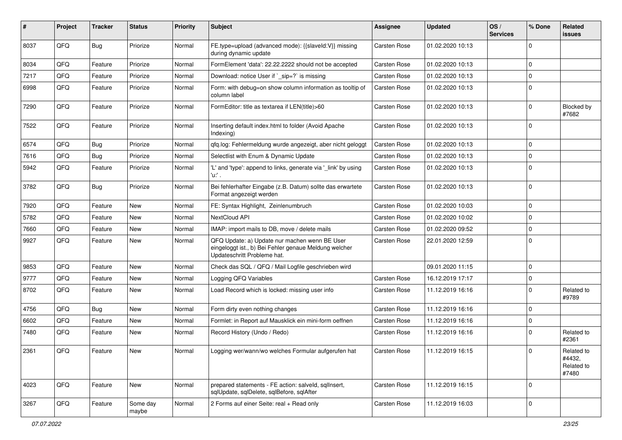| ∦    | Project | <b>Tracker</b> | <b>Status</b>     | <b>Priority</b> | <b>Subject</b>                                                                                                                        | Assignee            | <b>Updated</b>   | OS/<br><b>Services</b> | % Done      | Related<br><b>issues</b>                    |
|------|---------|----------------|-------------------|-----------------|---------------------------------------------------------------------------------------------------------------------------------------|---------------------|------------------|------------------------|-------------|---------------------------------------------|
| 8037 | QFQ     | Bug            | Priorize          | Normal          | FE.type=upload (advanced mode): {{slaveld:V}} missing<br>during dynamic update                                                        | Carsten Rose        | 01.02.2020 10:13 |                        | $\Omega$    |                                             |
| 8034 | QFQ     | Feature        | Priorize          | Normal          | FormElement 'data': 22.22.2222 should not be accepted                                                                                 | Carsten Rose        | 01.02.2020 10:13 |                        | $\mathbf 0$ |                                             |
| 7217 | QFQ     | Feature        | Priorize          | Normal          | Download: notice User if `_sip=?` is missing                                                                                          | Carsten Rose        | 01.02.2020 10:13 |                        | $\mathbf 0$ |                                             |
| 6998 | QFQ     | Feature        | Priorize          | Normal          | Form: with debug=on show column information as tooltip of<br>column label                                                             | Carsten Rose        | 01.02.2020 10:13 |                        | $\mathbf 0$ |                                             |
| 7290 | QFQ     | Feature        | Priorize          | Normal          | FormEditor: title as textarea if LEN(title)>60                                                                                        | Carsten Rose        | 01.02.2020 10:13 |                        | $\mathbf 0$ | Blocked by<br>#7682                         |
| 7522 | QFQ     | Feature        | Priorize          | Normal          | Inserting default index.html to folder (Avoid Apache<br>Indexing)                                                                     | Carsten Rose        | 01.02.2020 10:13 |                        | $\mathbf 0$ |                                             |
| 6574 | QFQ     | Bug            | Priorize          | Normal          | qfq.log: Fehlermeldung wurde angezeigt, aber nicht geloggt                                                                            | Carsten Rose        | 01.02.2020 10:13 |                        | $\mathbf 0$ |                                             |
| 7616 | QFQ     | Bug            | Priorize          | Normal          | Selectlist with Enum & Dynamic Update                                                                                                 | Carsten Rose        | 01.02.2020 10:13 |                        | $\mathbf 0$ |                                             |
| 5942 | QFQ     | Feature        | Priorize          | Normal          | 'L' and 'type': append to links, generate via '_link' by using<br>'u:' .                                                              | Carsten Rose        | 01.02.2020 10:13 |                        | $\mathbf 0$ |                                             |
| 3782 | QFQ     | Bug            | Priorize          | Normal          | Bei fehlerhafter Eingabe (z.B. Datum) sollte das erwartete<br>Format angezeigt werden                                                 | Carsten Rose        | 01.02.2020 10:13 |                        | $\mathbf 0$ |                                             |
| 7920 | QFQ     | Feature        | <b>New</b>        | Normal          | FE: Syntax Highlight, Zeinlenumbruch                                                                                                  | Carsten Rose        | 01.02.2020 10:03 |                        | $\mathbf 0$ |                                             |
| 5782 | QFQ     | Feature        | New               | Normal          | NextCloud API                                                                                                                         | Carsten Rose        | 01.02.2020 10:02 |                        | $\mathbf 0$ |                                             |
| 7660 | QFQ     | Feature        | New               | Normal          | IMAP: import mails to DB, move / delete mails                                                                                         | Carsten Rose        | 01.02.2020 09:52 |                        | $\mathbf 0$ |                                             |
| 9927 | QFQ     | Feature        | <b>New</b>        | Normal          | QFQ Update: a) Update nur machen wenn BE User<br>eingeloggt ist., b) Bei Fehler genaue Meldung welcher<br>Updateschritt Probleme hat. | Carsten Rose        | 22.01.2020 12:59 |                        | $\mathbf 0$ |                                             |
| 9853 | QFQ     | Feature        | New               | Normal          | Check das SQL / QFQ / Mail Logfile geschrieben wird                                                                                   |                     | 09.01.2020 11:15 |                        | $\mathbf 0$ |                                             |
| 9777 | QFQ     | Feature        | New               | Normal          | Logging QFQ Variables                                                                                                                 | Carsten Rose        | 16.12.2019 17:17 |                        | 0           |                                             |
| 8702 | QFQ     | Feature        | New               | Normal          | Load Record which is locked: missing user info                                                                                        | <b>Carsten Rose</b> | 11.12.2019 16:16 |                        | $\Omega$    | Related to<br>#9789                         |
| 4756 | QFQ     | Bug            | <b>New</b>        | Normal          | Form dirty even nothing changes                                                                                                       | Carsten Rose        | 11.12.2019 16:16 |                        | $\Omega$    |                                             |
| 6602 | QFQ     | Feature        | <b>New</b>        | Normal          | Formlet: in Report auf Mausklick ein mini-form oeffnen                                                                                | <b>Carsten Rose</b> | 11.12.2019 16:16 |                        | $\mathbf 0$ |                                             |
| 7480 | QFQ     | Feature        | New               | Normal          | Record History (Undo / Redo)                                                                                                          | Carsten Rose        | 11.12.2019 16:16 |                        | $\mathbf 0$ | Related to<br>#2361                         |
| 2361 | QFG     | Feature        | New               | Normal          | Logging wer/wann/wo welches Formular aufgerufen hat                                                                                   | Carsten Rose        | 11.12.2019 16:15 |                        | $\Omega$    | Related to<br>#4432,<br>Related to<br>#7480 |
| 4023 | QFQ     | Feature        | New               | Normal          | prepared statements - FE action: salveld, sqlInsert,<br>sqlUpdate, sqlDelete, sqlBefore, sqlAfter                                     | Carsten Rose        | 11.12.2019 16:15 |                        | $\mathbf 0$ |                                             |
| 3267 | QFG     | Feature        | Some day<br>maybe | Normal          | 2 Forms auf einer Seite: real + Read only                                                                                             | Carsten Rose        | 11.12.2019 16:03 |                        | $\mathbf 0$ |                                             |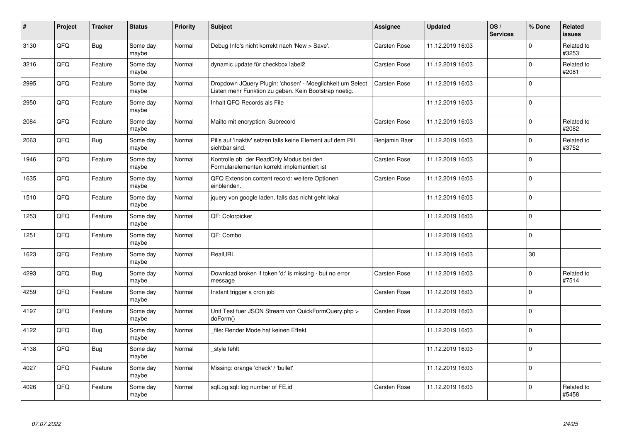| #    | Project | <b>Tracker</b> | <b>Status</b>     | <b>Priority</b> | <b>Subject</b>                                                                                                     | Assignee            | <b>Updated</b>   | OS/<br><b>Services</b> | % Done      | <b>Related</b><br><b>issues</b> |
|------|---------|----------------|-------------------|-----------------|--------------------------------------------------------------------------------------------------------------------|---------------------|------------------|------------------------|-------------|---------------------------------|
| 3130 | QFQ     | <b>Bug</b>     | Some day<br>maybe | Normal          | Debug Info's nicht korrekt nach 'New > Save'.                                                                      | <b>Carsten Rose</b> | 11.12.2019 16:03 |                        | $\Omega$    | Related to<br>#3253             |
| 3216 | QFQ     | Feature        | Some day<br>maybe | Normal          | dynamic update für checkbox label2                                                                                 | Carsten Rose        | 11.12.2019 16:03 |                        | $\mathbf 0$ | Related to<br>#2081             |
| 2995 | QFQ     | Feature        | Some day<br>maybe | Normal          | Dropdown JQuery Plugin: 'chosen' - Moeglichkeit um Select<br>Listen mehr Funktion zu geben. Kein Bootstrap noetig. | Carsten Rose        | 11.12.2019 16:03 |                        | $\mathbf 0$ |                                 |
| 2950 | QFQ     | Feature        | Some day<br>maybe | Normal          | Inhalt QFQ Records als File                                                                                        |                     | 11.12.2019 16:03 |                        | $\Omega$    |                                 |
| 2084 | QFQ     | Feature        | Some day<br>maybe | Normal          | Mailto mit encryption: Subrecord                                                                                   | Carsten Rose        | 11.12.2019 16:03 |                        | $\mathbf 0$ | Related to<br>#2082             |
| 2063 | QFQ     | <b>Bug</b>     | Some day<br>maybe | Normal          | Pills auf 'inaktiv' setzen falls keine Element auf dem Pill<br>sichtbar sind.                                      | Benjamin Baer       | 11.12.2019 16:03 |                        | $\mathbf 0$ | Related to<br>#3752             |
| 1946 | QFQ     | Feature        | Some day<br>maybe | Normal          | Kontrolle ob der ReadOnly Modus bei den<br>Formularelementen korrekt implementiert ist                             | Carsten Rose        | 11.12.2019 16:03 |                        | $\mathbf 0$ |                                 |
| 1635 | QFQ     | Feature        | Some day<br>maybe | Normal          | QFQ Extension content record: weitere Optionen<br>einblenden.                                                      | Carsten Rose        | 11.12.2019 16:03 |                        | $\mathbf 0$ |                                 |
| 1510 | QFQ     | Feature        | Some day<br>maybe | Normal          | jquery von google laden, falls das nicht geht lokal                                                                |                     | 11.12.2019 16:03 |                        | $\Omega$    |                                 |
| 1253 | QFQ     | Feature        | Some day<br>maybe | Normal          | QF: Colorpicker                                                                                                    |                     | 11.12.2019 16:03 |                        | $\mathbf 0$ |                                 |
| 1251 | QFQ     | Feature        | Some day<br>maybe | Normal          | QF: Combo                                                                                                          |                     | 11.12.2019 16:03 |                        | $\mathbf 0$ |                                 |
| 1623 | QFQ     | Feature        | Some day<br>maybe | Normal          | RealURL                                                                                                            |                     | 11.12.2019 16:03 |                        | $30\,$      |                                 |
| 4293 | QFQ     | <b>Bug</b>     | Some day<br>maybe | Normal          | Download broken if token 'd:' is missing - but no error<br>message                                                 | Carsten Rose        | 11.12.2019 16:03 |                        | $\mathbf 0$ | Related to<br>#7514             |
| 4259 | QFQ     | Feature        | Some day<br>maybe | Normal          | Instant trigger a cron job                                                                                         | Carsten Rose        | 11.12.2019 16:03 |                        | $\pmb{0}$   |                                 |
| 4197 | QFQ     | Feature        | Some day<br>maybe | Normal          | Unit Test fuer JSON Stream von QuickFormQuery.php ><br>doForm()                                                    | Carsten Rose        | 11.12.2019 16:03 |                        | $\Omega$    |                                 |
| 4122 | QFQ     | <b>Bug</b>     | Some day<br>maybe | Normal          | file: Render Mode hat keinen Effekt                                                                                |                     | 11.12.2019 16:03 |                        | $\Omega$    |                                 |
| 4138 | QFQ     | <b>Bug</b>     | Some day<br>maybe | Normal          | style fehlt                                                                                                        |                     | 11.12.2019 16:03 |                        | $\mathbf 0$ |                                 |
| 4027 | QFQ     | Feature        | Some day<br>maybe | Normal          | Missing: orange 'check' / 'bullet'                                                                                 |                     | 11.12.2019 16:03 |                        | $\Omega$    |                                 |
| 4026 | QFQ     | Feature        | Some day<br>maybe | Normal          | sqlLog.sql: log number of FE.id                                                                                    | <b>Carsten Rose</b> | 11.12.2019 16:03 |                        | $\Omega$    | Related to<br>#5458             |